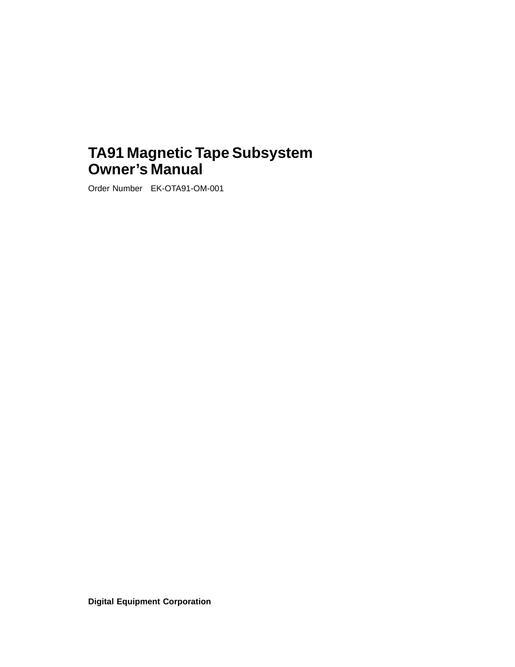# **TA91 Magnetic Tape Subsystem Owner's Manual**

Order Number EK-OTA91-OM-001

**Digital Equipment Corporation**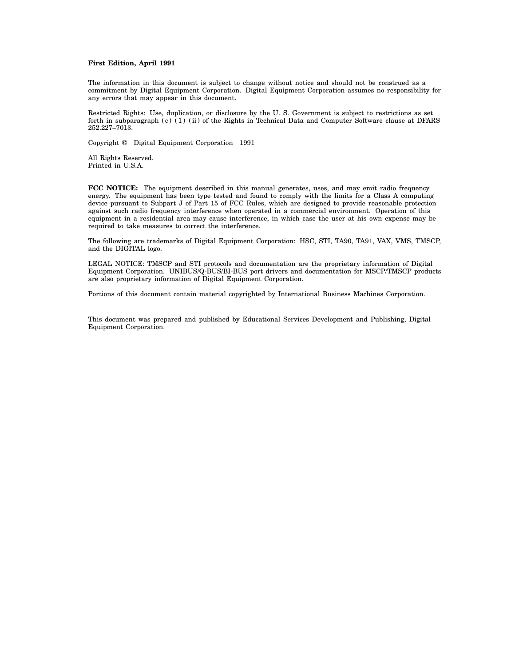#### **First Edition, April 1991**

The information in this document is subject to change without notice and should not be construed as a commitment by Digital Equipment Corporation. Digital Equipment Corporation assumes no responsibility for any errors that may appear in this document.

Restricted Rights: Use, duplication, or disclosure by the U. S. Government is subject to restrictions as set forth in subparagraph  $(c)$  (1) (ii) of the Rights in Technical Data and Computer Software clause at DFARS 252.227–7013.

Copyright © Digital Equipment Corporation 1991

All Rights Reserved. Printed in U.S.A.

**FCC NOTICE:** The equipment described in this manual generates, uses, and may emit radio frequency energy. The equipment has been type tested and found to comply with the limits for a Class A computing device pursuant to Subpart J of Part 15 of FCC Rules, which are designed to provide reasonable protection against such radio frequency interference when operated in a commercial environment. Operation of this equipment in a residential area may cause interference, in which case the user at his own expense may be required to take measures to correct the interference.

The following are trademarks of Digital Equipment Corporation: HSC, STI, TA90, TA91, VAX, VMS, TMSCP, and the DIGITAL logo.

LEGAL NOTICE: TMSCP and STI protocols and documentation are the proprietary information of Digital Equipment Corporation. UNIBUS/Q-BUS/BI-BUS port drivers and documentation for MSCP/TMSCP products are also proprietary information of Digital Equipment Corporation.

Portions of this document contain material copyrighted by International Business Machines Corporation.

This document was prepared and published by Educational Services Development and Publishing, Digital Equipment Corporation.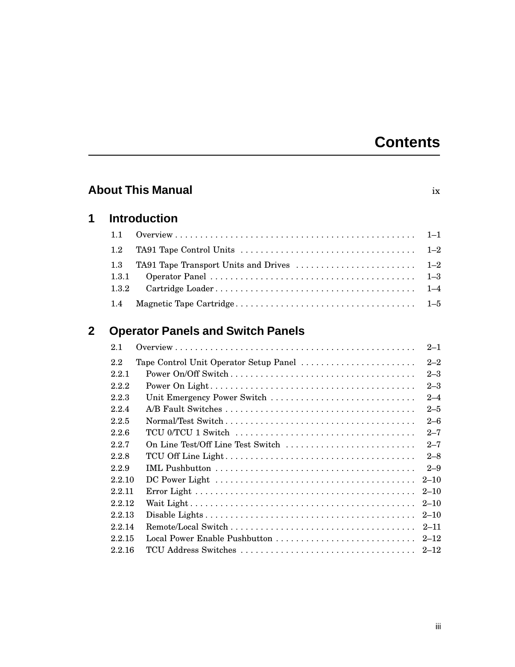# **Contents**

| <b>About This Manual</b><br>ix |                       |                                          |                               |
|--------------------------------|-----------------------|------------------------------------------|-------------------------------|
| 1                              |                       | <b>Introduction</b>                      |                               |
|                                | 1.1                   |                                          | $1 - 1$                       |
|                                | 1.2                   |                                          | $1 - 2$                       |
|                                | 1.3<br>1.3.1<br>1.3.2 | TA91 Tape Transport Units and Drives     | $1 - 2$<br>$1 - 3$<br>$1 - 4$ |
|                                | 1.4                   |                                          | $1 - 5$                       |
| 2                              |                       | <b>Operator Panels and Switch Panels</b> |                               |
|                                | 2.1                   |                                          | $2 - 1$                       |
|                                | 2.2                   | Tape Control Unit Operator Setup Panel   | $2 - 2$                       |
|                                | 2.2.1                 |                                          | $2 - 3$                       |
|                                | 2.2.2                 |                                          | $2 - 3$                       |
|                                | 2.2.3                 | Unit Emergency Power Switch              | $2 - 4$                       |
|                                | 2.2.4                 |                                          | $2 - 5$                       |
|                                | 2.2.5                 |                                          | $2 - 6$                       |
|                                | 2.2.6                 |                                          | $2 - 7$                       |
|                                | 2.2.7                 | On Line Test/Off Line Test Switch        | $2 - 7$                       |
|                                | 2.2.8                 |                                          | $2 - 8$                       |
|                                | 2.2.9                 |                                          | $2 - 9$                       |
|                                | 2.2.10                |                                          | $2 - 10$                      |
|                                | 2.2.11                |                                          | $2 - 10$                      |
|                                | 2.2.12                |                                          | $2 - 10$                      |
|                                | 2.2.13                |                                          | $2 - 10$                      |
|                                | 2.2.14                |                                          | $2 - 11$                      |
|                                | 2.2.15                |                                          | $2 - 12$                      |
|                                | 2.2.16                |                                          | $2 - 12$                      |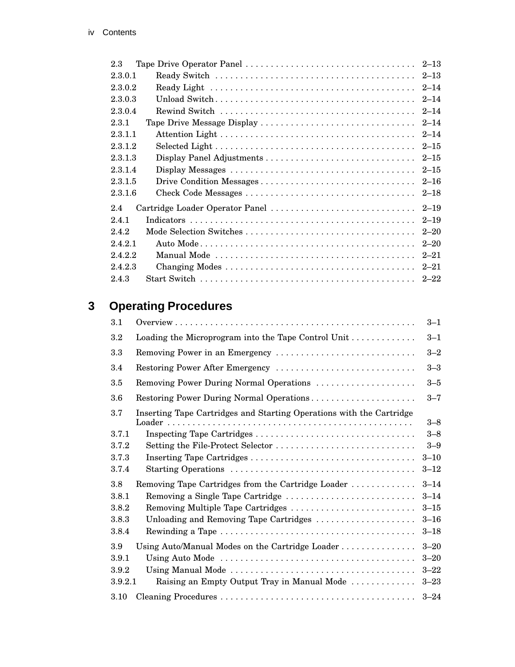| 2.3                                                |  |
|----------------------------------------------------|--|
| $2 - 13$<br>2.3.0.1                                |  |
| $2 - 14$<br>2.3.0.2                                |  |
| 2.3.0.3<br>$2 - 14$                                |  |
| 2.3.0.4<br>$2 - 14$                                |  |
| $2 - 14$<br>2.3.1<br>Tape Drive Message Display    |  |
| 2.3.1.1<br>$2 - 14$                                |  |
| 2.3.1.2<br>$2 - 15$                                |  |
| 2.3.1.3<br>$2 - 15$                                |  |
| 2.3.1.4<br>$2 - 15$                                |  |
| 2.3.1.5<br>$2 - 16$                                |  |
| 2.3.1.6<br>$2 - 18$                                |  |
| Cartridge Loader Operator Panel<br>$2 - 19$<br>2.4 |  |
| 2.4.1<br>$2 - 19$                                  |  |
| 2.4.2<br>$2 - 20$                                  |  |
| 2.4.2.1<br>$2 - 20$                                |  |
| 2.4.2.2<br>$2 - 21$                                |  |
| 2.4.2.3<br>$2 - 21$                                |  |
| 2.4.3                                              |  |

# **3 Operating Procedures**

| 3.1     |                                                                      | $3 - 1$  |
|---------|----------------------------------------------------------------------|----------|
| $3.2\,$ | Loading the Microprogram into the Tape Control Unit                  | $3 - 1$  |
| 3.3     | Removing Power in an Emergency                                       | $3 - 2$  |
| 3.4     |                                                                      | $3 - 3$  |
| 3.5     | Removing Power During Normal Operations                              | $3 - 5$  |
| 3.6     | Restoring Power During Normal Operations                             | $3 - 7$  |
| 3.7     | Inserting Tape Cartridges and Starting Operations with the Cartridge | $3 - 8$  |
| 3.7.1   |                                                                      | $3 - 8$  |
| 3.7.2   | Setting the File-Protect Selector                                    | $3 - 9$  |
| 3.7.3   |                                                                      | $3 - 10$ |
| 3.7.4   |                                                                      | $3 - 12$ |
| 3.8     | Removing Tape Cartridges from the Cartridge Loader                   | $3 - 14$ |
| 3.8.1   | Removing a Single Tape Cartridge                                     | $3 - 14$ |
| 3.8.2   | Removing Multiple Tape Cartridges                                    | $3 - 15$ |
| 3.8.3   | Unloading and Removing Tape Cartridges                               | $3 - 16$ |
| 3.8.4   |                                                                      | $3 - 18$ |
| 3.9     | Using Auto/Manual Modes on the Cartridge Loader                      | $3 - 20$ |
| 3.9.1   |                                                                      | $3 - 20$ |
| 3.9.2   |                                                                      | $3 - 22$ |
| 3.9.2.1 | Raising an Empty Output Tray in Manual Mode                          | $3 - 23$ |
| 3.10    |                                                                      | $3 - 24$ |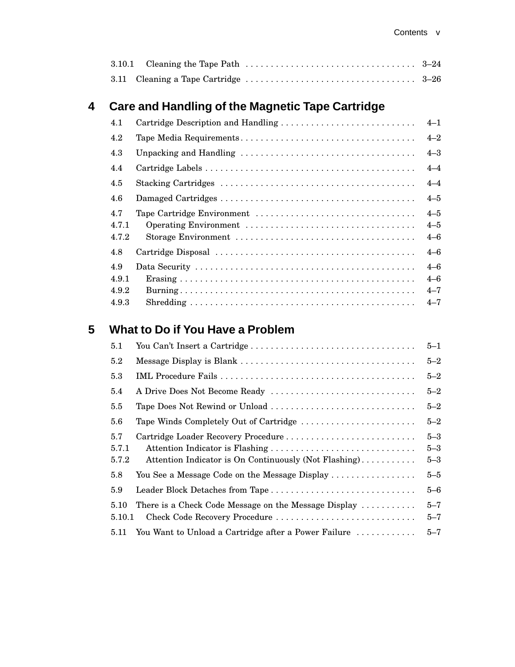# **4 Care and Handling of the Magnetic Tape Cartridge**

| 4.1                   | Cartridge Description and Handling | $4 - 1$                       |
|-----------------------|------------------------------------|-------------------------------|
| 4.2                   |                                    | $4 - 2$                       |
| 4.3                   |                                    | $4 - 3$                       |
| 4.4                   |                                    | $4 - 4$                       |
| 4.5                   |                                    | $4 - 4$                       |
| 4.6                   |                                    | $4 - 5$                       |
| 4.7<br>4.7.1<br>4.7.2 |                                    | $4 - 5$<br>$4 - 5$<br>$4 - 6$ |
| 4.8                   |                                    | $4 - 6$                       |
| 4.9<br>4.9.1<br>4.9.2 |                                    | $4 - 6$<br>$4 - 6$<br>$4 - 7$ |
| 4.9.3                 |                                    | $4 - 7$                       |

# **5 What to Do if You Have a Problem**

| 5.1                   |                                                                                              | $5 - 1$                       |
|-----------------------|----------------------------------------------------------------------------------------------|-------------------------------|
| 5.2                   |                                                                                              | $5 - 2$                       |
| 5.3                   |                                                                                              | $5 - 2$                       |
| 5.4                   | A Drive Does Not Become Ready                                                                | $5 - 2$                       |
| $5.5\,$               | Tape Does Not Rewind or Unload                                                               | $5 - 2$                       |
| 5.6                   | Tape Winds Completely Out of Cartridge                                                       | $5 - 2$                       |
| 5.7<br>5.7.1<br>5.7.2 | Cartridge Loader Recovery Procedure<br>Attention Indicator is On Continuously (Not Flashing) | $5 - 3$<br>$5 - 3$<br>$5 - 3$ |
| 5.8                   | You See a Message Code on the Message Display                                                | $5 - 5$                       |
| 5.9                   |                                                                                              | $5 - 6$                       |
| 5.10<br>5.10.1        | There is a Check Code Message on the Message Display<br>Check Code Recovery Procedure        | $5 - 7$<br>$5 - 7$            |
| 5.11                  | You Want to Unload a Cartridge after a Power Failure                                         | $5 - 7$                       |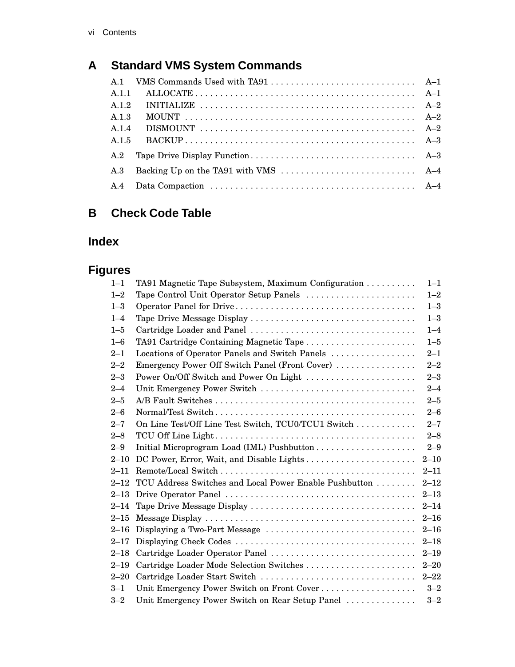# **A Standard VMS System Commands**

| A.1.1 |  |
|-------|--|
| A.1.2 |  |
| A.1.3 |  |
| A.1.4 |  |
| A.1.5 |  |
| A.2   |  |
| A.3   |  |
| A.4   |  |

# **B Check Code Table**

# **Index**

# **Figures**

| $1 - 1$  | TA91 Magnetic Tape Subsystem, Maximum Configuration    | $1 - 1$  |
|----------|--------------------------------------------------------|----------|
| $1 - 2$  | Tape Control Unit Operator Setup Panels                | $1 - 2$  |
| $1 - 3$  |                                                        | $1 - 3$  |
| $1 - 4$  | Tape Drive Message Display                             | $1 - 3$  |
| $1 - 5$  | Cartridge Loader and Panel                             | $1 - 4$  |
| $1 - 6$  | TA91 Cartridge Containing Magnetic Tape                | $1 - 5$  |
| $2 - 1$  | Locations of Operator Panels and Switch Panels         | $2 - 1$  |
| $2 - 2$  | Emergency Power Off Switch Panel (Front Cover)         | $2 - 2$  |
| $2 - 3$  | Power On/Off Switch and Power On Light                 | $2 - 3$  |
| $2 - 4$  | Unit Emergency Power Switch                            | $2 - 4$  |
| $2 - 5$  |                                                        | $2 - 5$  |
| $2 - 6$  |                                                        | $2 - 6$  |
| $2 - 7$  | On Line Test/Off Line Test Switch, TCU0/TCU1 Switch    | $2 - 7$  |
| $2 - 8$  |                                                        | $2 - 8$  |
| $2 - 9$  |                                                        | $2 - 9$  |
| $2 - 10$ | DC Power, Error, Wait, and Disable Lights              | $2 - 10$ |
| $2 - 11$ |                                                        | $2 - 11$ |
| $2 - 12$ | TCU Address Switches and Local Power Enable Pushbutton | $2 - 12$ |
| $2 - 13$ |                                                        | $2 - 13$ |
| $2 - 14$ |                                                        | $2 - 14$ |
| $2 - 15$ |                                                        | $2 - 16$ |
| $2 - 16$ | Displaying a Two-Part Message                          | $2 - 16$ |
| $2 - 17$ |                                                        | $2 - 18$ |
| $2 - 18$ | Cartridge Loader Operator Panel                        | $2 - 19$ |
| $2 - 19$ | Cartridge Loader Mode Selection Switches               | $2 - 20$ |
| $2 - 20$ | Cartridge Loader Start Switch                          | $2 - 22$ |
| $3 - 1$  | Unit Emergency Power Switch on Front Cover             | $3 - 2$  |
| $3 - 2$  | Unit Emergency Power Switch on Rear Setup Panel        | $3 - 2$  |
|          |                                                        |          |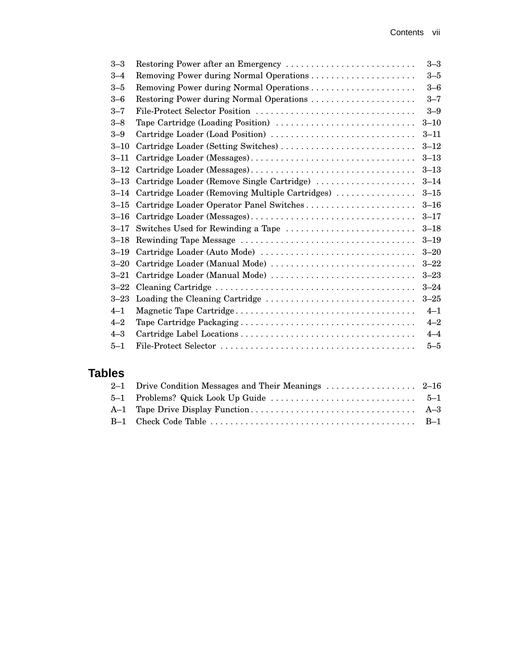| $3 - 3$  | Restoring Power after an Emergency              | $3 - 3$  |
|----------|-------------------------------------------------|----------|
| $3 - 4$  | Removing Power during Normal Operations         | $3 - 5$  |
| $3 - 5$  |                                                 | $3 - 6$  |
| $3 - 6$  | Restoring Power during Normal Operations        | $3 - 7$  |
| $3 - 7$  | File-Protect Selector Position                  | $3 - 9$  |
| $3 - 8$  | Tape Cartridge (Loading Position)               | $3 - 10$ |
| $3 - 9$  | Cartridge Loader (Load Position)                | $3 - 11$ |
| $3 - 10$ | Cartridge Loader (Setting Switches)             | $3 - 12$ |
| $3 - 11$ |                                                 | $3 - 13$ |
| $3 - 12$ |                                                 | $3 - 13$ |
| $3 - 13$ | Cartridge Loader (Remove Single Cartridge)      | $3 - 14$ |
| $3 - 14$ | Cartridge Loader (Removing Multiple Cartridges) | $3 - 15$ |
| $3 - 15$ | Cartridge Loader Operator Panel Switches        | $3 - 16$ |
| $3 - 16$ |                                                 | $3 - 17$ |
| $3 - 17$ | Switches Used for Rewinding a Tape              | $3 - 18$ |
| $3 - 18$ |                                                 | $3 - 19$ |
| $3 - 19$ | Cartridge Loader (Auto Mode)                    | $3 - 20$ |
| $3 - 20$ | Cartridge Loader (Manual Mode)                  | $3 - 22$ |
| $3 - 21$ | Cartridge Loader (Manual Mode)                  | $3 - 23$ |
| $3 - 22$ |                                                 | $3 - 24$ |
| $3 - 23$ |                                                 | $3 - 25$ |
| $4 - 1$  |                                                 | $4 - 1$  |
| $4 - 2$  |                                                 | $4 - 2$  |
| $4 - 3$  |                                                 | $4 - 4$  |
| $5 - 1$  |                                                 | $5 - 5$  |
|          |                                                 |          |

# **Tables**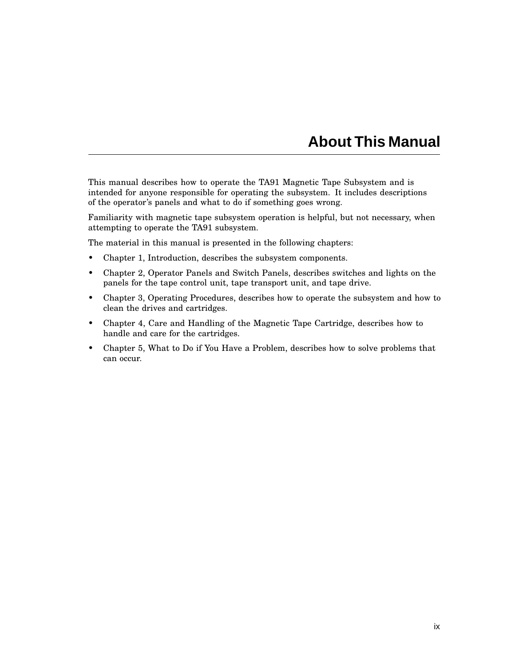# **About This Manual**

This manual describes how to operate the TA91 Magnetic Tape Subsystem and is intended for anyone responsible for operating the subsystem. It includes descriptions of the operator's panels and what to do if something goes wrong.

Familiarity with magnetic tape subsystem operation is helpful, but not necessary, when attempting to operate the TA91 subsystem.

The material in this manual is presented in the following chapters:

- Chapter 1, Introduction, describes the subsystem components.
- Chapter 2, Operator Panels and Switch Panels, describes switches and lights on the panels for the tape control unit, tape transport unit, and tape drive.
- Chapter 3, Operating Procedures, describes how to operate the subsystem and how to clean the drives and cartridges.
- Chapter 4, Care and Handling of the Magnetic Tape Cartridge, describes how to handle and care for the cartridges.
- Chapter 5, What to Do if You Have a Problem, describes how to solve problems that can occur.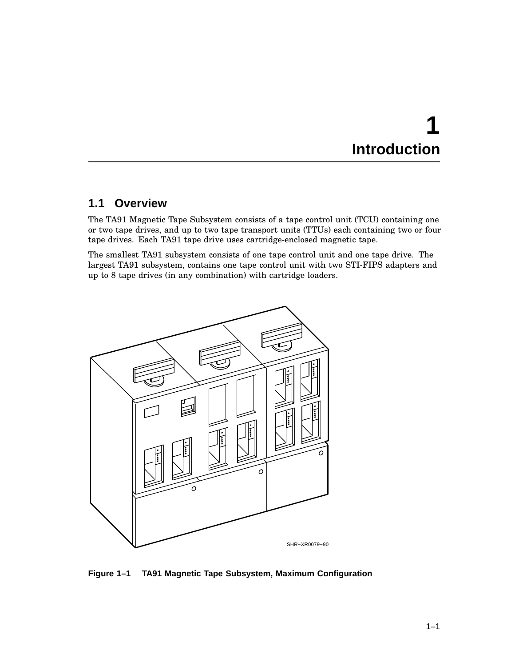# **1 Introduction**

# **1.1 Overview**

The TA91 Magnetic Tape Subsystem consists of a tape control unit (TCU) containing one or two tape drives, and up to two tape transport units (TTUs) each containing two or four tape drives. Each TA91 tape drive uses cartridge-enclosed magnetic tape.

The smallest TA91 subsystem consists of one tape control unit and one tape drive. The largest TA91 subsystem, contains one tape control unit with two STI-FIPS adapters and up to 8 tape drives (in any combination) with cartridge loaders.



**Figure 1–1 TA91 Magnetic Tape Subsystem, Maximum Configuration**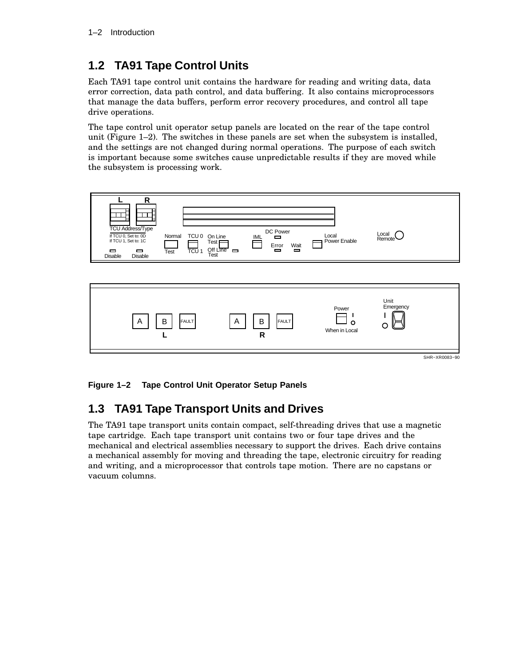# **1.2 TA91 Tape Control Units**

Each TA91 tape control unit contains the hardware for reading and writing data, data error correction, data path control, and data buffering. It also contains microprocessors that manage the data buffers, perform error recovery procedures, and control all tape drive operations.

The tape control unit operator setup panels are located on the rear of the tape control unit (Figure 1–2). The switches in these panels are set when the subsystem is installed, and the settings are not changed during normal operations. The purpose of each switch is important because some switches cause unpredictable results if they are moved while the subsystem is processing work.



SHR−XR0083−90

**Figure 1–2 Tape Control Unit Operator Setup Panels**

# **1.3 TA91 Tape Transport Units and Drives**

The TA91 tape transport units contain compact, self-threading drives that use a magnetic tape cartridge. Each tape transport unit contains two or four tape drives and the mechanical and electrical assemblies necessary to support the drives. Each drive contains a mechanical assembly for moving and threading the tape, electronic circuitry for reading and writing, and a microprocessor that controls tape motion. There are no capstans or vacuum columns.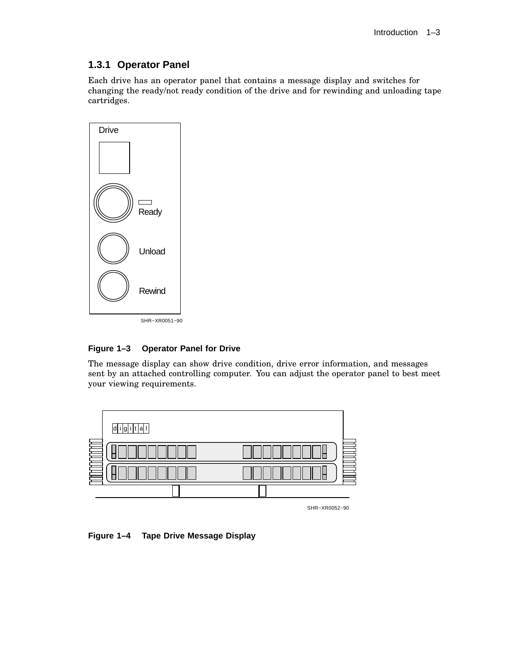# **1.3.1 Operator Panel**

Each drive has an operator panel that contains a message display and switches for changing the ready/not ready condition of the drive and for rewinding and unloading tape cartridges.



#### **Figure 1–3 Operator Panel for Drive**

The message display can show drive condition, drive error information, and messages sent by an attached controlling computer. You can adjust the operator panel to best meet your viewing requirements.



**Figure 1–4 Tape Drive Message Display**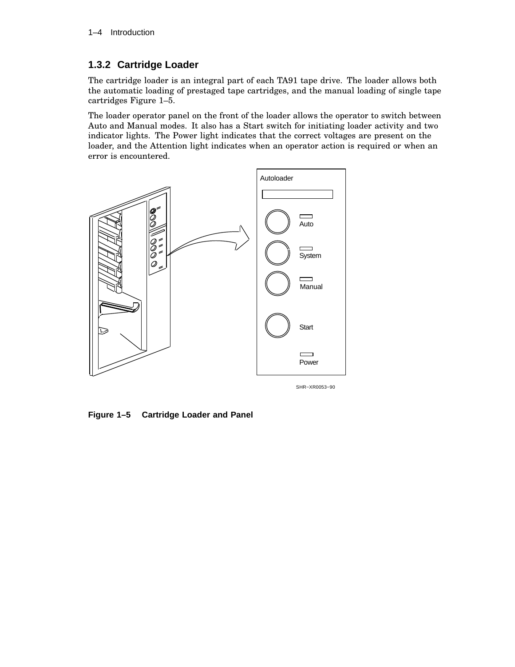## **1.3.2 Cartridge Loader**

The cartridge loader is an integral part of each TA91 tape drive. The loader allows both the automatic loading of prestaged tape cartridges, and the manual loading of single tape cartridges Figure 1–5.

The loader operator panel on the front of the loader allows the operator to switch between Auto and Manual modes. It also has a Start switch for initiating loader activity and two indicator lights. The Power light indicates that the correct voltages are present on the loader, and the Attention light indicates when an operator action is required or when an error is encountered.



**Figure 1–5 Cartridge Loader and Panel**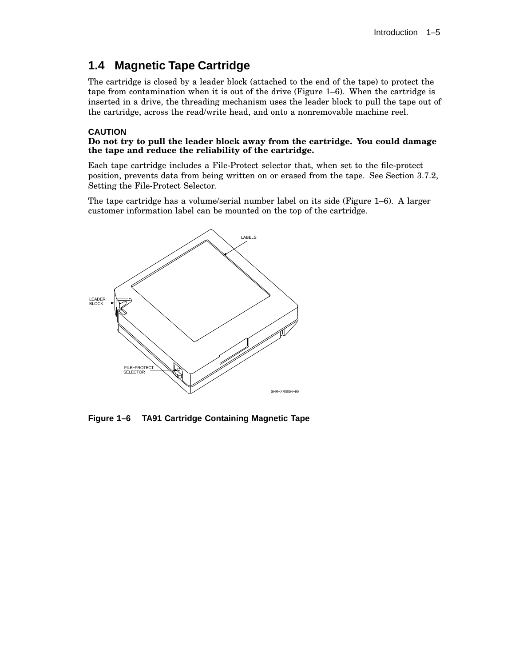# **1.4 Magnetic Tape Cartridge**

The cartridge is closed by a leader block (attached to the end of the tape) to protect the tape from contamination when it is out of the drive (Figure 1–6). When the cartridge is inserted in a drive, the threading mechanism uses the leader block to pull the tape out of the cartridge, across the read/write head, and onto a nonremovable machine reel.

#### **CAUTION**

#### **Do not try to pull the leader block away from the cartridge. You could damage the tape and reduce the reliability of the cartridge.**

Each tape cartridge includes a File-Protect selector that, when set to the file-protect position, prevents data from being written on or erased from the tape. See Section 3.7.2, Setting the File-Protect Selector.

The tape cartridge has a volume/serial number label on its side (Figure 1–6). A larger customer information label can be mounted on the top of the cartridge.



**Figure 1–6 TA91 Cartridge Containing Magnetic Tape**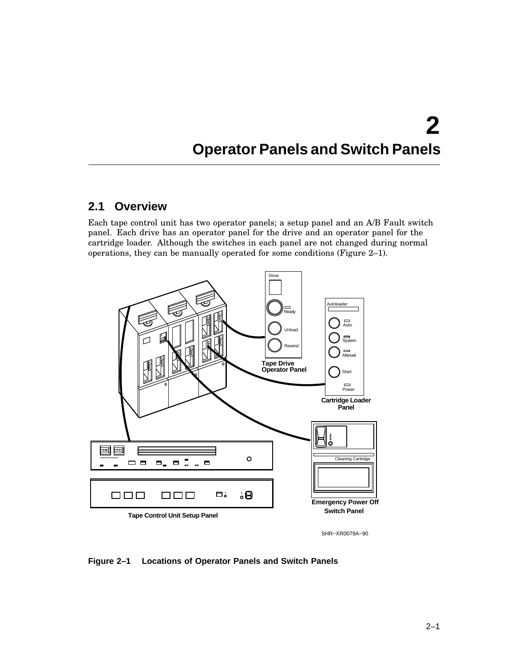# **2 Operator Panels and Switch Panels**

# **2.1 Overview**

Each tape control unit has two operator panels; a setup panel and an A/B Fault switch panel. Each drive has an operator panel for the drive and an operator panel for the cartridge loader. Although the switches in each panel are not changed during normal operations, they can be manually operated for some conditions (Figure 2–1).



**Figure 2–1 Locations of Operator Panels and Switch Panels**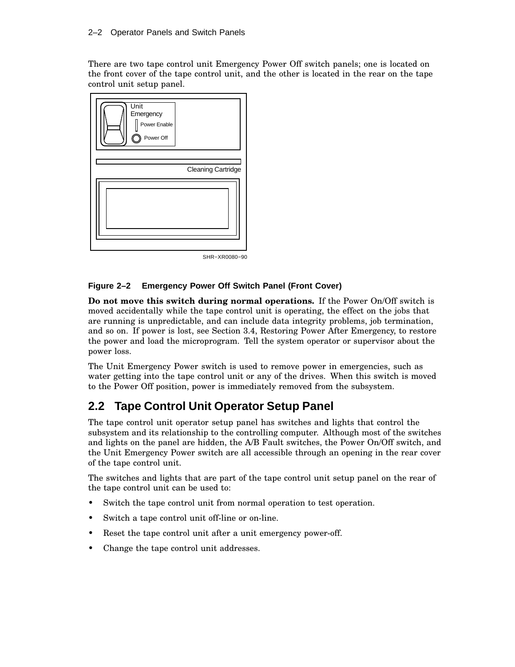There are two tape control unit Emergency Power Off switch panels; one is located on the front cover of the tape control unit, and the other is located in the rear on the tape control unit setup panel.



SHR−XR0080−90

### **Figure 2–2 Emergency Power Off Switch Panel (Front Cover)**

**Do not move this switch during normal operations.** If the Power On/Off switch is moved accidentally while the tape control unit is operating, the effect on the jobs that are running is unpredictable, and can include data integrity problems, job termination, and so on. If power is lost, see Section 3.4, Restoring Power After Emergency, to restore the power and load the microprogram. Tell the system operator or supervisor about the power loss.

The Unit Emergency Power switch is used to remove power in emergencies, such as water getting into the tape control unit or any of the drives. When this switch is moved to the Power Off position, power is immediately removed from the subsystem.

# **2.2 Tape Control Unit Operator Setup Panel**

The tape control unit operator setup panel has switches and lights that control the subsystem and its relationship to the controlling computer. Although most of the switches and lights on the panel are hidden, the A/B Fault switches, the Power On/Off switch, and the Unit Emergency Power switch are all accessible through an opening in the rear cover of the tape control unit.

The switches and lights that are part of the tape control unit setup panel on the rear of the tape control unit can be used to:

- Switch the tape control unit from normal operation to test operation.
- Switch a tape control unit off-line or on-line.
- Reset the tape control unit after a unit emergency power-off.
- Change the tape control unit addresses.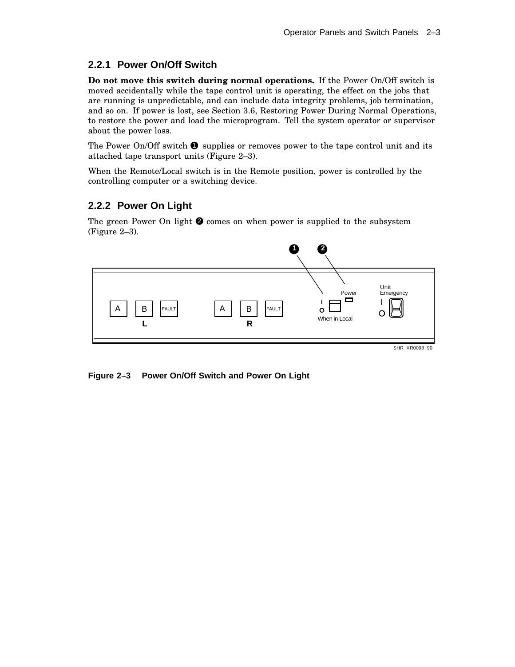# **2.2.1 Power On/Off Switch**

**Do not move this switch during normal operations.** If the Power On/Off switch is moved accidentally while the tape control unit is operating, the effect on the jobs that are running is unpredictable, and can include data integrity problems, job termination, and so on. If power is lost, see Section 3.6, Restoring Power During Normal Operations, to restore the power and load the microprogram. Tell the system operator or supervisor about the power loss.

The Power On/Off switch  $\bullet$  supplies or removes power to the tape control unit and its attached tape transport units (Figure 2–3).

When the Remote/Local switch is in the Remote position, power is controlled by the controlling computer or a switching device.

## **2.2.2 Power On Light**

The green Power On light  $\bullet$  comes on when power is supplied to the subsystem (Figure 2–3).



**Figure 2–3 Power On/Off Switch and Power On Light**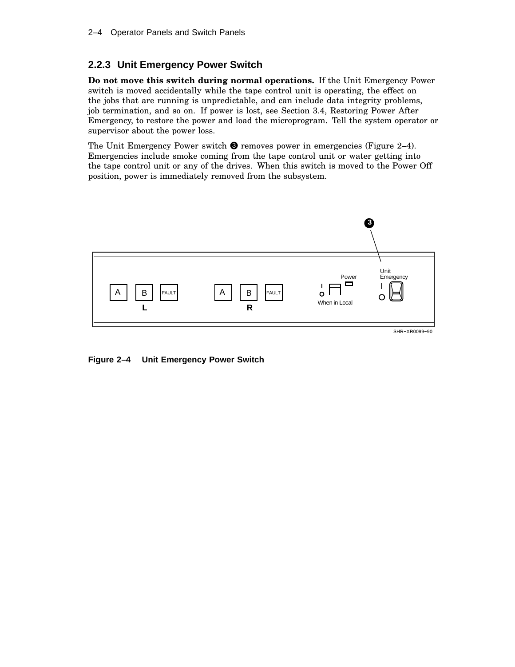## **2.2.3 Unit Emergency Power Switch**

**Do not move this switch during normal operations.** If the Unit Emergency Power switch is moved accidentally while the tape control unit is operating, the effect on the jobs that are running is unpredictable, and can include data integrity problems, job termination, and so on. If power is lost, see Section 3.4, Restoring Power After Emergency, to restore the power and load the microprogram. Tell the system operator or supervisor about the power loss.

The Unit Emergency Power switch  $\bullet$  removes power in emergencies (Figure 2–4). Emergencies include smoke coming from the tape control unit or water getting into the tape control unit or any of the drives. When this switch is moved to the Power Off position, power is immediately removed from the subsystem.



**Figure 2–4 Unit Emergency Power Switch**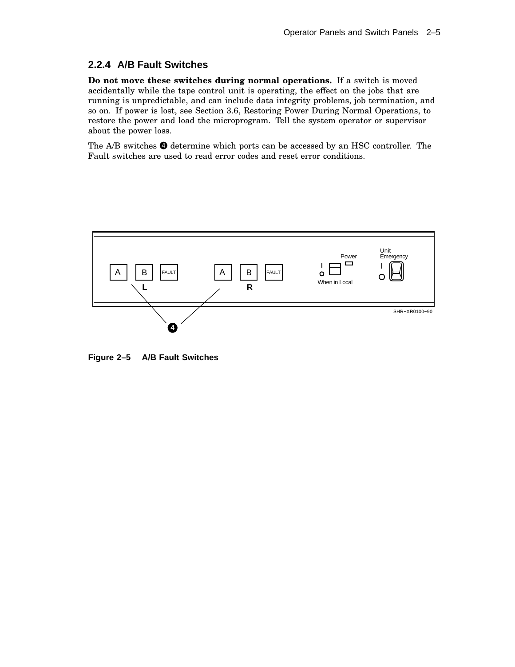## **2.2.4 A/B Fault Switches**

**Do not move these switches during normal operations.** If a switch is moved accidentally while the tape control unit is operating, the effect on the jobs that are running is unpredictable, and can include data integrity problems, job termination, and so on. If power is lost, see Section 3.6, Restoring Power During Normal Operations, to restore the power and load the microprogram. Tell the system operator or supervisor about the power loss.

The  $A/B$  switches  $\bullet$  determine which ports can be accessed by an HSC controller. The Fault switches are used to read error codes and reset error conditions.



**Figure 2–5 A/B Fault Switches**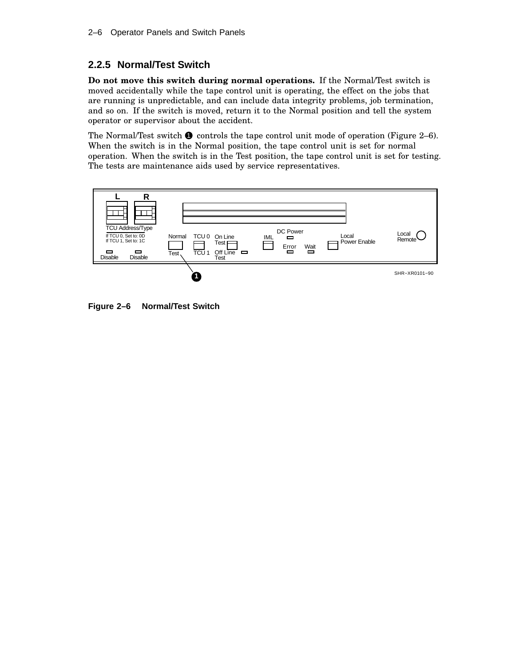# **2.2.5 Normal/Test Switch**

**Do not move this switch during normal operations.** If the Normal/Test switch is moved accidentally while the tape control unit is operating, the effect on the jobs that are running is unpredictable, and can include data integrity problems, job termination, and so on. If the switch is moved, return it to the Normal position and tell the system operator or supervisor about the accident.

The Normal/Test switch  $\bullet$  controls the tape control unit mode of operation (Figure 2–6). When the switch is in the Normal position, the tape control unit is set for normal operation. When the switch is in the Test position, the tape control unit is set for testing. The tests are maintenance aids used by service representatives.



**Figure 2–6 Normal/Test Switch**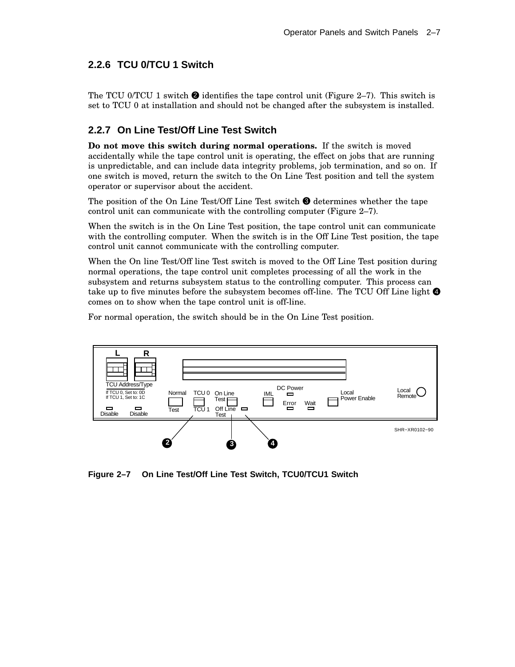# **2.2.6 TCU 0/TCU 1 Switch**

The TCU 0/TCU 1 switch  $\bullet$  identifies the tape control unit (Figure 2–7). This switch is set to TCU 0 at installation and should not be changed after the subsystem is installed.

## **2.2.7 On Line Test/Off Line Test Switch**

**Do not move this switch during normal operations.** If the switch is moved accidentally while the tape control unit is operating, the effect on jobs that are running is unpredictable, and can include data integrity problems, job termination, and so on. If one switch is moved, return the switch to the On Line Test position and tell the system operator or supervisor about the accident.

The position of the On Line Test/Off Line Test switch  $\bigcirc$  determines whether the tape control unit can communicate with the controlling computer (Figure 2–7).

When the switch is in the On Line Test position, the tape control unit can communicate with the controlling computer. When the switch is in the Off Line Test position, the tape control unit cannot communicate with the controlling computer.

When the On line Test/Off line Test switch is moved to the Off Line Test position during normal operations, the tape control unit completes processing of all the work in the subsystem and returns subsystem status to the controlling computer. This process can take up to five minutes before the subsystem becomes off-line. The TCU Off Line light  $\bullet$ comes on to show when the tape control unit is off-line.

For normal operation, the switch should be in the On Line Test position.



**Figure 2–7 On Line Test/Off Line Test Switch, TCU0/TCU1 Switch**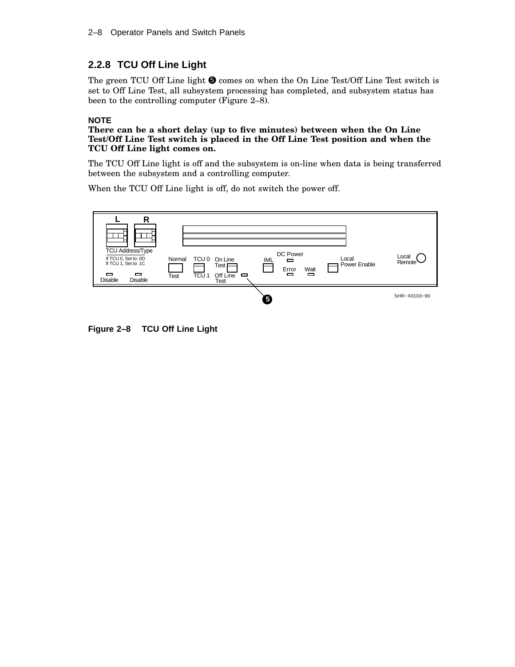# **2.2.8 TCU Off Line Light**

The green TCU Off Line light  $\bigcirc$  comes on when the On Line Test/Off Line Test switch is set to Off Line Test, all subsystem processing has completed, and subsystem status has been to the controlling computer (Figure 2–8).

#### **NOTE**

**There can be a short delay (up to five minutes) between when the On Line Test/Off Line Test switch is placed in the Off Line Test position and when the TCU Off Line light comes on.**

The TCU Off Line light is off and the subsystem is on-line when data is being transferred between the subsystem and a controlling computer.

When the TCU Off Line light is off, do not switch the power off.



**Figure 2–8 TCU Off Line Light**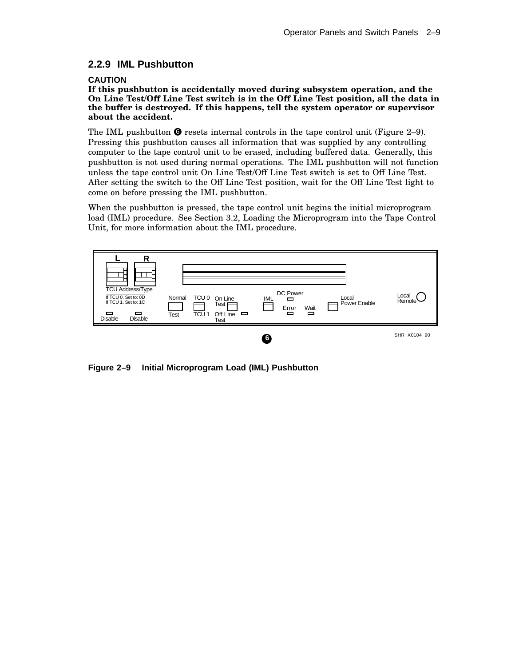## **2.2.9 IML Pushbutton**

#### **CAUTION**

**If this pushbutton is accidentally moved during subsystem operation, and the On Line Test/Off Line Test switch is in the Off Line Test position, all the data in the buffer is destroyed. If this happens, tell the system operator or supervisor about the accident.**

The IML pushbutton  $\bullet$  resets internal controls in the tape control unit (Figure 2–9). Pressing this pushbutton causes all information that was supplied by any controlling computer to the tape control unit to be erased, including buffered data. Generally, this pushbutton is not used during normal operations. The IML pushbutton will not function unless the tape control unit On Line Test/Off Line Test switch is set to Off Line Test. After setting the switch to the Off Line Test position, wait for the Off Line Test light to come on before pressing the IML pushbutton.

When the pushbutton is pressed, the tape control unit begins the initial microprogram load (IML) procedure. See Section 3.2, Loading the Microprogram into the Tape Control Unit, for more information about the IML procedure.



**Figure 2–9 Initial Microprogram Load (IML) Pushbutton**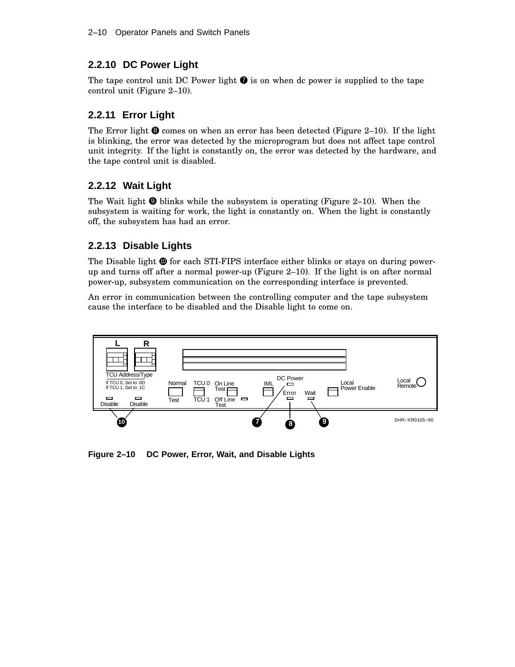# **2.2.10 DC Power Light**

The tape control unit DC Power light  $\bullet$  is on when dc power is supplied to the tape control unit (Figure 2–10).

# **2.2.11 Error Light**

The Error light  $\bullet$  comes on when an error has been detected (Figure 2–10). If the light is blinking, the error was detected by the microprogram but does not affect tape control unit integrity. If the light is constantly on, the error was detected by the hardware, and the tape control unit is disabled.

# **2.2.12 Wait Light**

The Wait light  $\odot$  blinks while the subsystem is operating (Figure 2–10). When the subsystem is waiting for work, the light is constantly on. When the light is constantly off, the subsystem has had an error.

## **2.2.13 Disable Lights**

The Disable light  $\mathbf{\Phi}$  for each STI-FIPS interface either blinks or stays on during powerup and turns off after a normal power-up (Figure 2–10). If the light is on after normal power-up, subsystem communication on the corresponding interface is prevented.

An error in communication between the controlling computer and the tape subsystem cause the interface to be disabled and the Disable light to come on.



**Figure 2–10 DC Power, Error, Wait, and Disable Lights**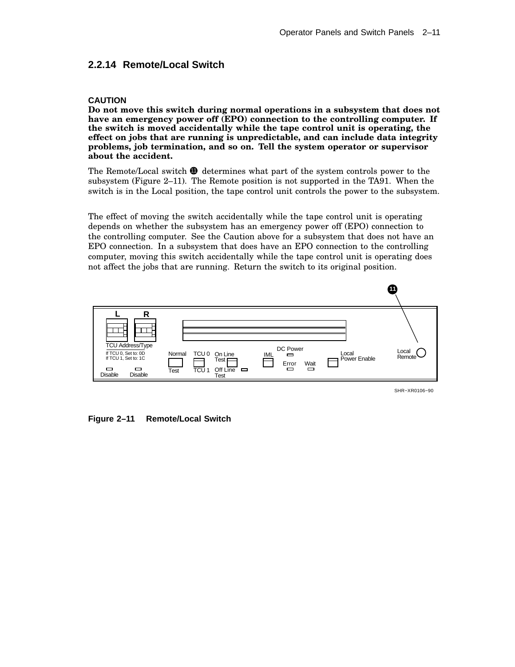### **2.2.14 Remote/Local Switch**

#### **CAUTION**

**Do not move this switch during normal operations in a subsystem that does not have an emergency power off (EPO) connection to the controlling computer. If the switch is moved accidentally while the tape control unit is operating, the effect on jobs that are running is unpredictable, and can include data integrity problems, job termination, and so on. Tell the system operator or supervisor about the accident.**

The Remote/Local switch  $\Phi$  determines what part of the system controls power to the subsystem (Figure 2–11). The Remote position is not supported in the TA91. When the switch is in the Local position, the tape control unit controls the power to the subsystem.

The effect of moving the switch accidentally while the tape control unit is operating depends on whether the subsystem has an emergency power off (EPO) connection to the controlling computer. See the Caution above for a subsystem that does not have an EPO connection. In a subsystem that does have an EPO connection to the controlling computer, moving this switch accidentally while the tape control unit is operating does not affect the jobs that are running. Return the switch to its original position.



SHR−XR0106−90

**Figure 2–11 Remote/Local Switch**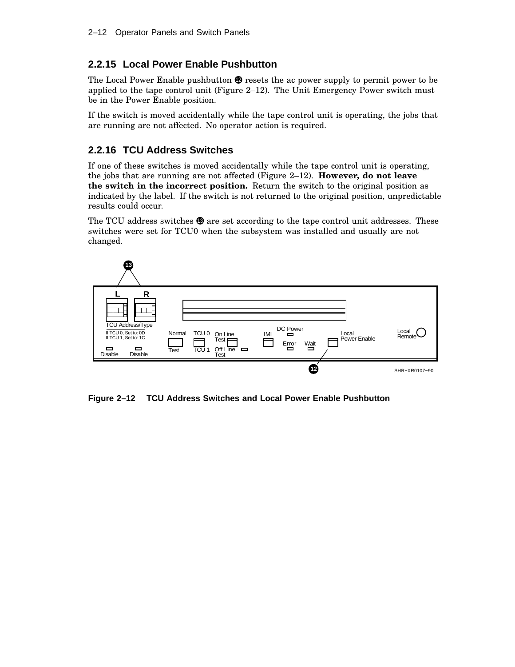## **2.2.15 Local Power Enable Pushbutton**

The Local Power Enable pushbutton  $\bullet$  resets the ac power supply to permit power to be applied to the tape control unit (Figure 2–12). The Unit Emergency Power switch must be in the Power Enable position.

If the switch is moved accidentally while the tape control unit is operating, the jobs that are running are not affected. No operator action is required.

## **2.2.16 TCU Address Switches**

If one of these switches is moved accidentally while the tape control unit is operating, the jobs that are running are not affected (Figure 2–12). **However, do not leave the switch in the incorrect position.** Return the switch to the original position as indicated by the label. If the switch is not returned to the original position, unpredictable results could occur.

The TCU address switches  $\circledast$  are set according to the tape control unit addresses. These switches were set for TCU0 when the subsystem was installed and usually are not changed.



**Figure 2–12 TCU Address Switches and Local Power Enable Pushbutton**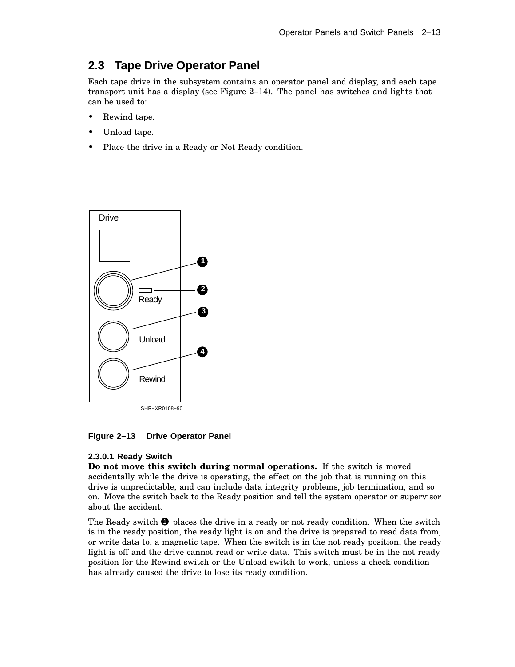# **2.3 Tape Drive Operator Panel**

Each tape drive in the subsystem contains an operator panel and display, and each tape transport unit has a display (see Figure 2–14). The panel has switches and lights that can be used to:

- Rewind tape.
- Unload tape.
- Place the drive in a Ready or Not Ready condition.



**Figure 2–13 Drive Operator Panel**

#### **2.3.0.1 Ready Switch**

**Do not move this switch during normal operations.** If the switch is moved accidentally while the drive is operating, the effect on the job that is running on this drive is unpredictable, and can include data integrity problems, job termination, and so on. Move the switch back to the Ready position and tell the system operator or supervisor about the accident.

The Ready switch  $\bullet$  places the drive in a ready or not ready condition. When the switch is in the ready position, the ready light is on and the drive is prepared to read data from, or write data to, a magnetic tape. When the switch is in the not ready position, the ready light is off and the drive cannot read or write data. This switch must be in the not ready position for the Rewind switch or the Unload switch to work, unless a check condition has already caused the drive to lose its ready condition.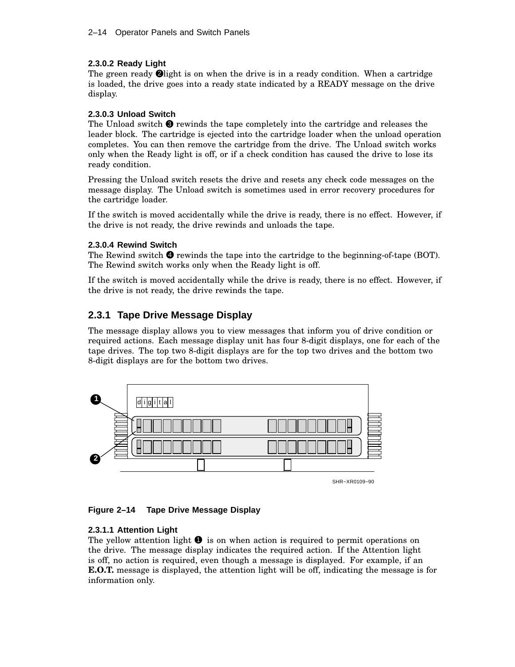#### **2.3.0.2 Ready Light**

The green ready  $\Theta$  light is on when the drive is in a ready condition. When a cartridge is loaded, the drive goes into a ready state indicated by a READY message on the drive display.

#### **2.3.0.3 Unload Switch**

The Unload switch  $\bullet$  rewinds the tape completely into the cartridge and releases the leader block. The cartridge is ejected into the cartridge loader when the unload operation completes. You can then remove the cartridge from the drive. The Unload switch works only when the Ready light is off, or if a check condition has caused the drive to lose its ready condition.

Pressing the Unload switch resets the drive and resets any check code messages on the message display. The Unload switch is sometimes used in error recovery procedures for the cartridge loader.

If the switch is moved accidentally while the drive is ready, there is no effect. However, if the drive is not ready, the drive rewinds and unloads the tape.

#### **2.3.0.4 Rewind Switch**

The Rewind switch  $\bullet$  rewinds the tape into the cartridge to the beginning-of-tape (BOT). The Rewind switch works only when the Ready light is off.

If the switch is moved accidentally while the drive is ready, there is no effect. However, if the drive is not ready, the drive rewinds the tape.

## **2.3.1 Tape Drive Message Display**

The message display allows you to view messages that inform you of drive condition or required actions. Each message display unit has four 8-digit displays, one for each of the tape drives. The top two 8-digit displays are for the top two drives and the bottom two 8-digit displays are for the bottom two drives.



#### **Figure 2–14 Tape Drive Message Display**

#### **2.3.1.1 Attention Light**

The yellow attention light  $\bullet$  is on when action is required to permit operations on the drive. The message display indicates the required action. If the Attention light is off, no action is required, even though a message is displayed. For example, if an **E.O.T.** message is displayed, the attention light will be off, indicating the message is for information only.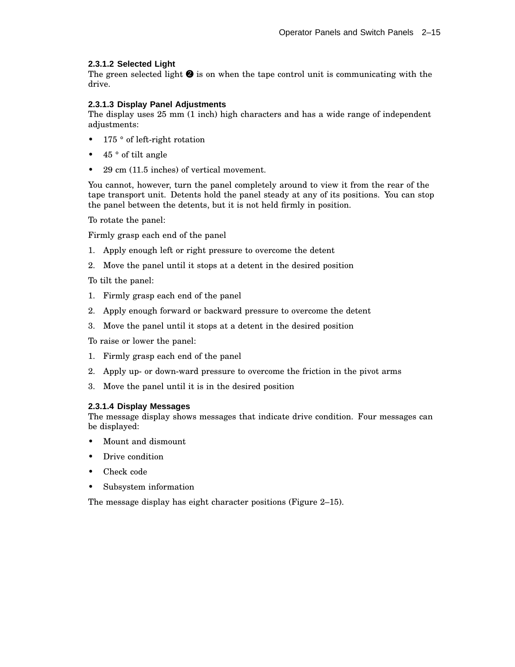#### **2.3.1.2 Selected Light**

The green selected light  $\bullet$  is on when the tape control unit is communicating with the drive.

#### **2.3.1.3 Display Panel Adjustments**

The display uses 25 mm (1 inch) high characters and has a wide range of independent adjustments:

- 175 ° of left-right rotation
- 45 ° of tilt angle
- 29 cm (11.5 inches) of vertical movement.

You cannot, however, turn the panel completely around to view it from the rear of the tape transport unit. Detents hold the panel steady at any of its positions. You can stop the panel between the detents, but it is not held firmly in position.

To rotate the panel:

Firmly grasp each end of the panel

- 1. Apply enough left or right pressure to overcome the detent
- 2. Move the panel until it stops at a detent in the desired position

To tilt the panel:

- 1. Firmly grasp each end of the panel
- 2. Apply enough forward or backward pressure to overcome the detent
- 3. Move the panel until it stops at a detent in the desired position

To raise or lower the panel:

- 1. Firmly grasp each end of the panel
- 2. Apply up- or down-ward pressure to overcome the friction in the pivot arms
- 3. Move the panel until it is in the desired position

#### **2.3.1.4 Display Messages**

The message display shows messages that indicate drive condition. Four messages can be displayed:

- Mount and dismount
- Drive condition
- Check code
- Subsystem information

The message display has eight character positions (Figure 2–15).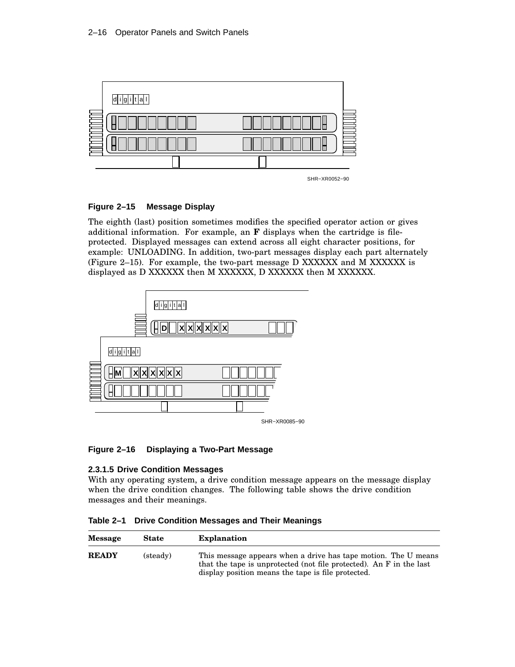

#### **Figure 2–15 Message Display**

The eighth (last) position sometimes modifies the specified operator action or gives additional information. For example, an **F** displays when the cartridge is fileprotected. Displayed messages can extend across all eight character positions, for example: UNLOADING. In addition, two-part messages display each part alternately (Figure 2–15). For example, the two-part message D XXXXXX and M XXXXXX is displayed as D XXXXXX then M XXXXXX, D XXXXXX then M XXXXXX.



**Figure 2–16 Displaying a Two-Part Message**

#### **2.3.1.5 Drive Condition Messages**

With any operating system, a drive condition message appears on the message display when the drive condition changes. The following table shows the drive condition messages and their meanings.

**Table 2–1 Drive Condition Messages and Their Meanings**

| Message      | <b>State</b> | <b>Explanation</b>                                                                                                                                                                          |
|--------------|--------------|---------------------------------------------------------------------------------------------------------------------------------------------------------------------------------------------|
| <b>READY</b> | (steady)     | This message appears when a drive has tape motion. The U means<br>that the tape is unprotected (not file protected). An F in the last<br>display position means the tape is file protected. |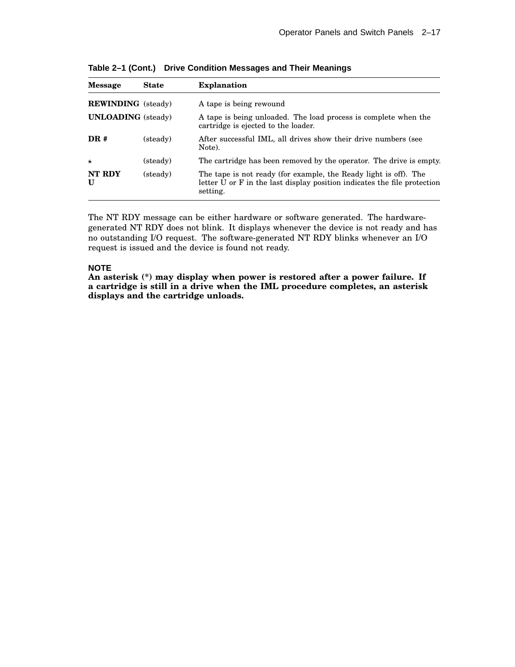| <b>Message</b>            | <b>State</b> | <b>Explanation</b>                                                                                                                                       |
|---------------------------|--------------|----------------------------------------------------------------------------------------------------------------------------------------------------------|
| <b>REWINDING</b> (steady) |              | A tape is being rewound                                                                                                                                  |
| <b>UNLOADING</b> (steady) |              | A tape is being unloaded. The load process is complete when the<br>cartridge is ejected to the loader.                                                   |
| DR#                       | (steady)     | After successful IML, all drives show their drive numbers (see<br>Note).                                                                                 |
| $\star$                   | (steady)     | The cartridge has been removed by the operator. The drive is empty.                                                                                      |
| NT RDY<br>$\mathbf{U}$    | (steady)     | The tape is not ready (for example, the Ready light is off). The<br>letter U or F in the last display position indicates the file protection<br>setting. |

**Table 2–1 (Cont.) Drive Condition Messages and Their Meanings**

The NT RDY message can be either hardware or software generated. The hardwaregenerated NT RDY does not blink. It displays whenever the device is not ready and has no outstanding I/O request. The software-generated NT RDY blinks whenever an I/O request is issued and the device is found not ready.

#### **NOTE**

**An asterisk (\*) may display when power is restored after a power failure. If a cartridge is still in a drive when the IML procedure completes, an asterisk displays and the cartridge unloads.**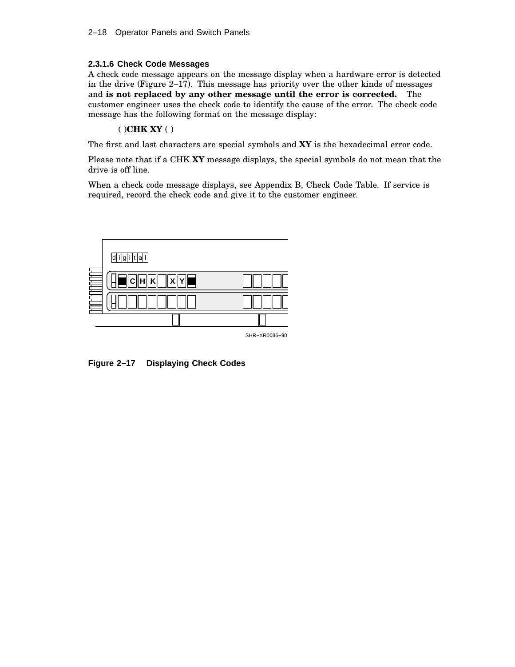#### **2.3.1.6 Check Code Messages**

A check code message appears on the message display when a hardware error is detected in the drive (Figure 2–17). This message has priority over the other kinds of messages and **is not replaced by any other message until the error is corrected.** The customer engineer uses the check code to identify the cause of the error. The check code message has the following format on the message display:

#### ( )**CHK XY** ( )

The first and last characters are special symbols and **XY** is the hexadecimal error code.

Please note that if a CHK **XY** message displays, the special symbols do not mean that the drive is off line.

When a check code message displays, see Appendix B, Check Code Table. If service is required, record the check code and give it to the customer engineer.



**Figure 2–17 Displaying Check Codes**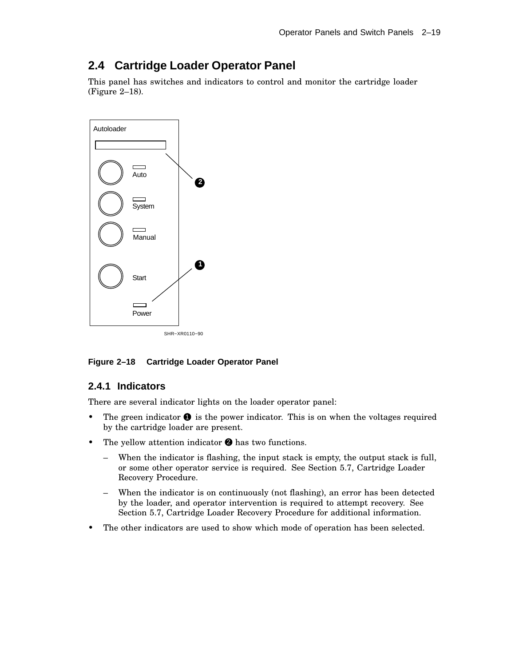# **2.4 Cartridge Loader Operator Panel**

This panel has switches and indicators to control and monitor the cartridge loader (Figure 2–18).



**Figure 2–18 Cartridge Loader Operator Panel**

### **2.4.1 Indicators**

There are several indicator lights on the loader operator panel:

- The green indicator  $\bullet$  is the power indicator. This is on when the voltages required by the cartridge loader are present.
- The yellow attention indicator  $\bullet$  has two functions.
	- When the indicator is flashing, the input stack is empty, the output stack is full, or some other operator service is required. See Section 5.7, Cartridge Loader Recovery Procedure.
	- When the indicator is on continuously (not flashing), an error has been detected by the loader, and operator intervention is required to attempt recovery. See Section 5.7, Cartridge Loader Recovery Procedure for additional information.
- The other indicators are used to show which mode of operation has been selected.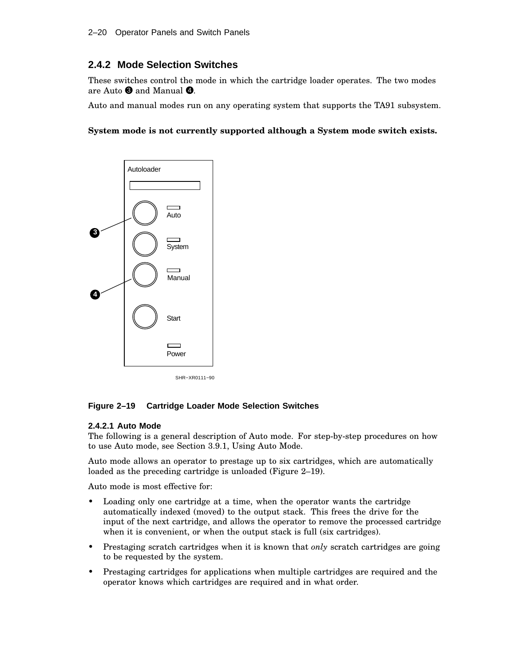## **2.4.2 Mode Selection Switches**

These switches control the mode in which the cartridge loader operates. The two modes are Auto  $\bullet$  and Manual  $\bullet$ .

Auto and manual modes run on any operating system that supports the TA91 subsystem.

#### **System mode is not currently supported although a System mode switch exists.**



#### **Figure 2–19 Cartridge Loader Mode Selection Switches**

#### **2.4.2.1 Auto Mode**

The following is a general description of Auto mode. For step-by-step procedures on how to use Auto mode, see Section 3.9.1, Using Auto Mode.

Auto mode allows an operator to prestage up to six cartridges, which are automatically loaded as the preceding cartridge is unloaded (Figure 2–19).

Auto mode is most effective for:

- Loading only one cartridge at a time, when the operator wants the cartridge automatically indexed (moved) to the output stack. This frees the drive for the input of the next cartridge, and allows the operator to remove the processed cartridge when it is convenient, or when the output stack is full (six cartridges).
- Prestaging scratch cartridges when it is known that *only* scratch cartridges are going to be requested by the system.
- Prestaging cartridges for applications when multiple cartridges are required and the operator knows which cartridges are required and in what order.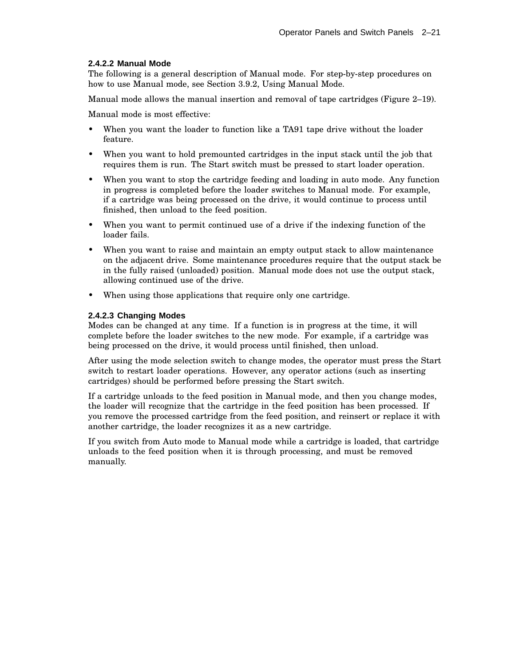#### **2.4.2.2 Manual Mode**

The following is a general description of Manual mode. For step-by-step procedures on how to use Manual mode, see Section 3.9.2, Using Manual Mode.

Manual mode allows the manual insertion and removal of tape cartridges (Figure 2–19).

Manual mode is most effective:

- When you want the loader to function like a TA91 tape drive without the loader feature.
- When you want to hold premounted cartridges in the input stack until the job that requires them is run. The Start switch must be pressed to start loader operation.
- When you want to stop the cartridge feeding and loading in auto mode. Any function in progress is completed before the loader switches to Manual mode. For example, if a cartridge was being processed on the drive, it would continue to process until finished, then unload to the feed position.
- When you want to permit continued use of a drive if the indexing function of the loader fails.
- When you want to raise and maintain an empty output stack to allow maintenance on the adjacent drive. Some maintenance procedures require that the output stack be in the fully raised (unloaded) position. Manual mode does not use the output stack, allowing continued use of the drive.
- When using those applications that require only one cartridge.

#### **2.4.2.3 Changing Modes**

Modes can be changed at any time. If a function is in progress at the time, it will complete before the loader switches to the new mode. For example, if a cartridge was being processed on the drive, it would process until finished, then unload.

After using the mode selection switch to change modes, the operator must press the Start switch to restart loader operations. However, any operator actions (such as inserting cartridges) should be performed before pressing the Start switch.

If a cartridge unloads to the feed position in Manual mode, and then you change modes, the loader will recognize that the cartridge in the feed position has been processed. If you remove the processed cartridge from the feed position, and reinsert or replace it with another cartridge, the loader recognizes it as a new cartridge.

If you switch from Auto mode to Manual mode while a cartridge is loaded, that cartridge unloads to the feed position when it is through processing, and must be removed manually.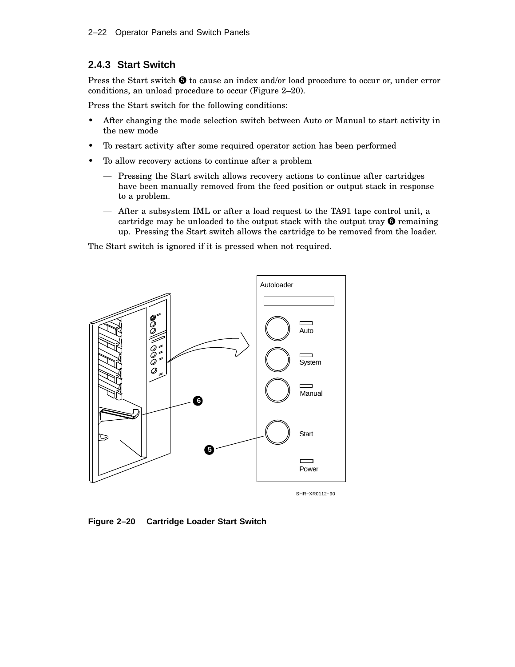### **2.4.3 Start Switch**

Press the Start switch  $\bigcirc$  to cause an index and/or load procedure to occur or, under error conditions, an unload procedure to occur (Figure 2–20).

Press the Start switch for the following conditions:

- After changing the mode selection switch between Auto or Manual to start activity in the new mode
- To restart activity after some required operator action has been performed
- To allow recovery actions to continue after a problem
	- Pressing the Start switch allows recovery actions to continue after cartridges have been manually removed from the feed position or output stack in response to a problem.
	- After a subsystem IML or after a load request to the TA91 tape control unit, a cartridge may be unloaded to the output stack with the output tray  $\Theta$  remaining up. Pressing the Start switch allows the cartridge to be removed from the loader.

The Start switch is ignored if it is pressed when not required.



**Figure 2–20 Cartridge Loader Start Switch**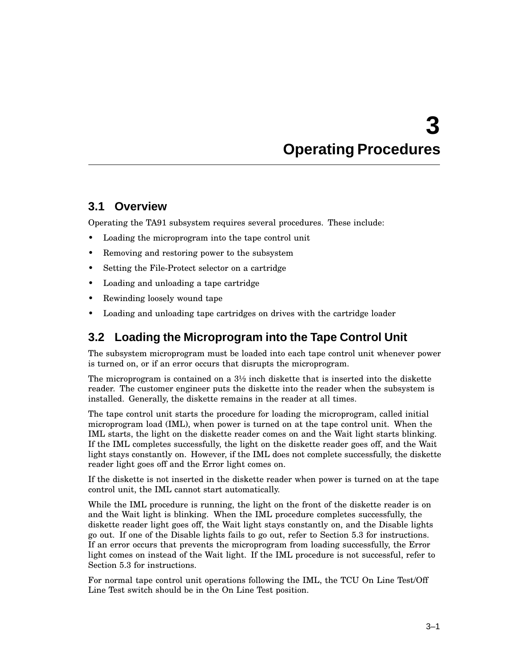# **3 Operating Procedures**

# **3.1 Overview**

Operating the TA91 subsystem requires several procedures. These include:

- Loading the microprogram into the tape control unit
- Removing and restoring power to the subsystem
- Setting the File-Protect selector on a cartridge
- Loading and unloading a tape cartridge
- Rewinding loosely wound tape
- Loading and unloading tape cartridges on drives with the cartridge loader

# **3.2 Loading the Microprogram into the Tape Control Unit**

The subsystem microprogram must be loaded into each tape control unit whenever power is turned on, or if an error occurs that disrupts the microprogram.

The microprogram is contained on a  $3\frac{1}{2}$  inch diskette that is inserted into the diskette reader. The customer engineer puts the diskette into the reader when the subsystem is installed. Generally, the diskette remains in the reader at all times.

The tape control unit starts the procedure for loading the microprogram, called initial microprogram load (IML), when power is turned on at the tape control unit. When the IML starts, the light on the diskette reader comes on and the Wait light starts blinking. If the IML completes successfully, the light on the diskette reader goes off, and the Wait light stays constantly on. However, if the IML does not complete successfully, the diskette reader light goes off and the Error light comes on.

If the diskette is not inserted in the diskette reader when power is turned on at the tape control unit, the IML cannot start automatically.

While the IML procedure is running, the light on the front of the diskette reader is on and the Wait light is blinking. When the IML procedure completes successfully, the diskette reader light goes off, the Wait light stays constantly on, and the Disable lights go out. If one of the Disable lights fails to go out, refer to Section 5.3 for instructions. If an error occurs that prevents the microprogram from loading successfully, the Error light comes on instead of the Wait light. If the IML procedure is not successful, refer to Section 5.3 for instructions.

For normal tape control unit operations following the IML, the TCU On Line Test/Off Line Test switch should be in the On Line Test position.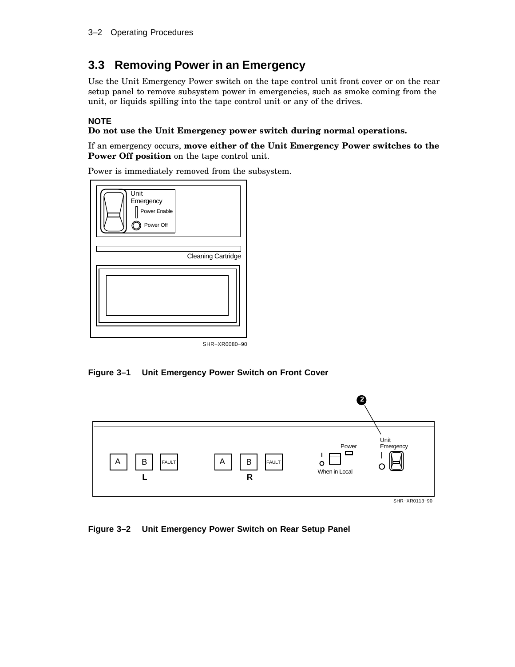## **3.3 Removing Power in an Emergency**

Use the Unit Emergency Power switch on the tape control unit front cover or on the rear setup panel to remove subsystem power in emergencies, such as smoke coming from the unit, or liquids spilling into the tape control unit or any of the drives.

#### **NOTE**

#### **Do not use the Unit Emergency power switch during normal operations.**

If an emergency occurs, **move either of the Unit Emergency Power switches to the Power Off position** on the tape control unit.

Power is immediately removed from the subsystem.



SHR−XR0080−90

**Figure 3–1 Unit Emergency Power Switch on Front Cover**



**Figure 3–2 Unit Emergency Power Switch on Rear Setup Panel**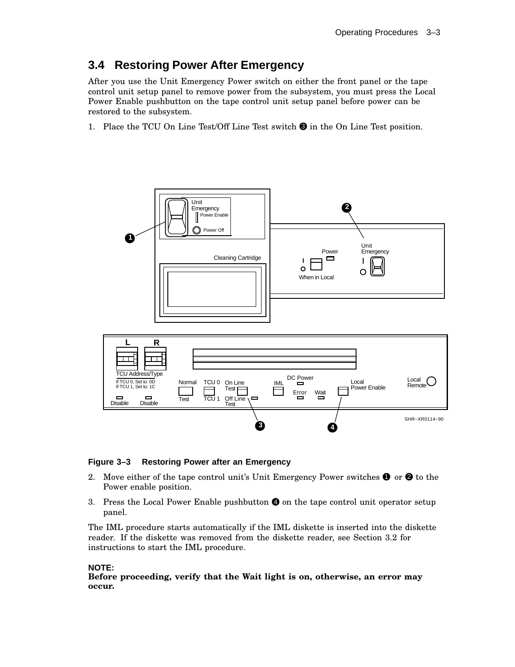## **3.4 Restoring Power After Emergency**

After you use the Unit Emergency Power switch on either the front panel or the tape control unit setup panel to remove power from the subsystem, you must press the Local Power Enable pushbutton on the tape control unit setup panel before power can be restored to the subsystem.

1. Place the TCU On Line Test/Off Line Test switch  $\bigcirc$  in the On Line Test position.



#### **Figure 3–3 Restoring Power after an Emergency**

- 2. Move either of the tape control unit's Unit Emergency Power switches  $\bullet$  or  $\bullet$  to the Power enable position.
- 3. Press the Local Power Enable pushbutton  $\bullet$  on the tape control unit operator setup panel.

The IML procedure starts automatically if the IML diskette is inserted into the diskette reader. If the diskette was removed from the diskette reader, see Section 3.2 for instructions to start the IML procedure.

#### **NOTE:**

**Before proceeding, verify that the Wait light is on, otherwise, an error may occur.**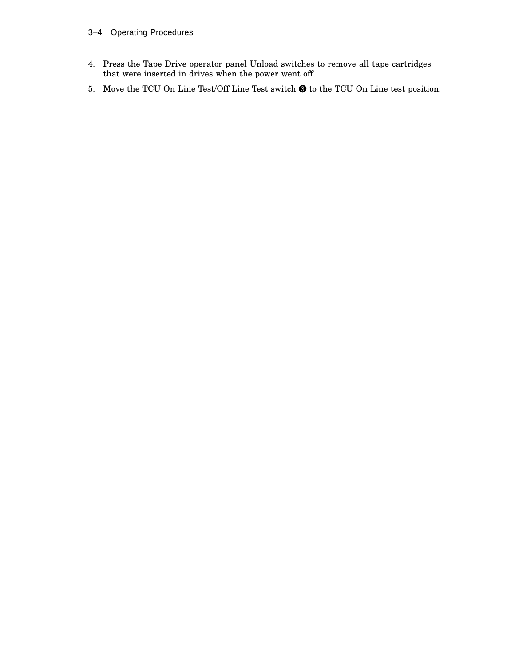#### 3–4 Operating Procedures

- 4. Press the Tape Drive operator panel Unload switches to remove all tape cartridges that were inserted in drives when the power went off.
- 5. Move the TCU On Line Test/Off Line Test switch  $\bigcirc$  to the TCU On Line test position.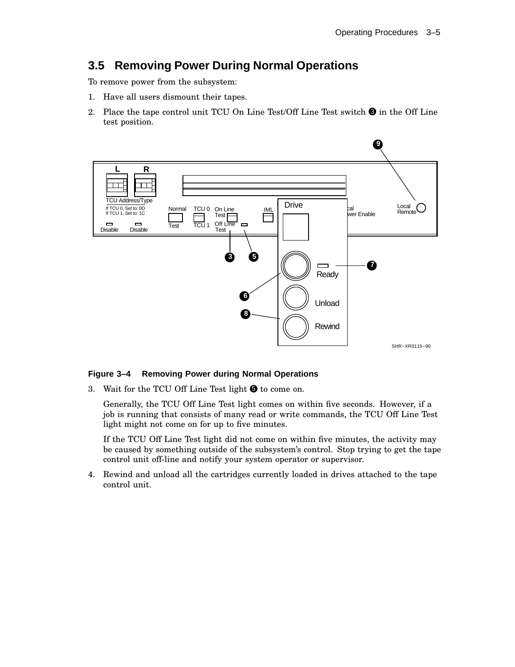## **3.5 Removing Power During Normal Operations**

To remove power from the subsystem:

- 1. Have all users dismount their tapes.
- 2. Place the tape control unit TCU On Line Test/Off Line Test switch  $\bigcirc$  in the Off Line test position.



#### **Figure 3–4 Removing Power during Normal Operations**

3. Wait for the TCU Off Line Test light  $\bigcirc$  to come on.

Generally, the TCU Off Line Test light comes on within five seconds. However, if a job is running that consists of many read or write commands, the TCU Off Line Test light might not come on for up to five minutes.

If the TCU Off Line Test light did not come on within five minutes, the activity may be caused by something outside of the subsystem's control. Stop trying to get the tape control unit off-line and notify your system operator or supervisor.

4. Rewind and unload all the cartridges currently loaded in drives attached to the tape control unit.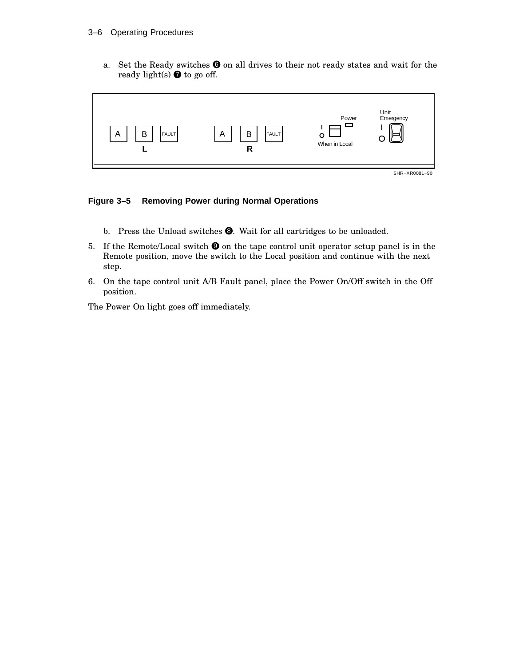a. Set the Ready switches  $\bigcirc$  on all drives to their not ready states and wait for the ready light(s)  $\bullet$  to go off.



### **Figure 3–5 Removing Power during Normal Operations**

- b. Press the Unload switches <sup>3</sup>. Wait for all cartridges to be unloaded.
- 5. If the Remote/Local switch  $\bullet$  on the tape control unit operator setup panel is in the Remote position, move the switch to the Local position and continue with the next step.
- 6. On the tape control unit A/B Fault panel, place the Power On/Off switch in the Off position.

The Power On light goes off immediately.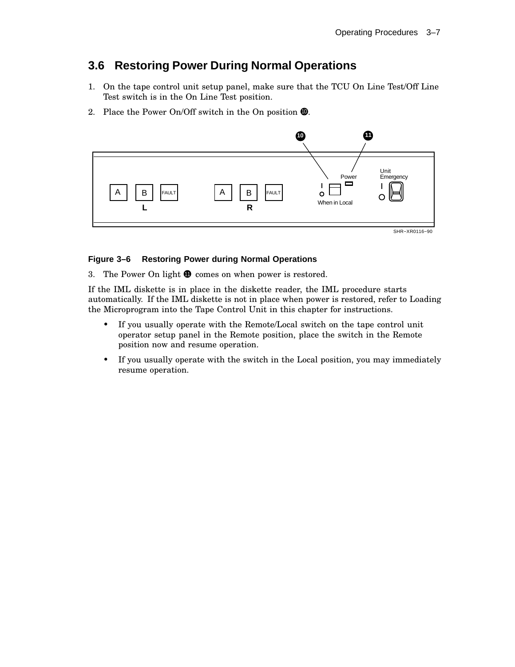## **3.6 Restoring Power During Normal Operations**

- 1. On the tape control unit setup panel, make sure that the TCU On Line Test/Off Line Test switch is in the On Line Test position.
- 2. Place the Power On/Off switch in the On position  $\Phi$ .



#### **Figure 3–6 Restoring Power during Normal Operations**

3. The Power On light  $\Phi$  comes on when power is restored.

If the IML diskette is in place in the diskette reader, the IML procedure starts automatically. If the IML diskette is not in place when power is restored, refer to Loading the Microprogram into the Tape Control Unit in this chapter for instructions.

- If you usually operate with the Remote/Local switch on the tape control unit operator setup panel in the Remote position, place the switch in the Remote position now and resume operation.
- If you usually operate with the switch in the Local position, you may immediately resume operation.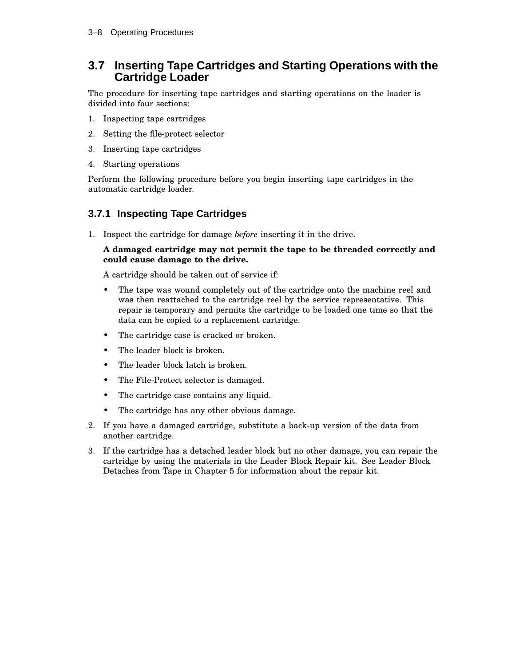### **3.7 Inserting Tape Cartridges and Starting Operations with the Cartridge Loader**

The procedure for inserting tape cartridges and starting operations on the loader is divided into four sections:

- 1. Inspecting tape cartridges
- 2. Setting the file-protect selector
- 3. Inserting tape cartridges
- 4. Starting operations

Perform the following procedure before you begin inserting tape cartridges in the automatic cartridge loader.

### **3.7.1 Inspecting Tape Cartridges**

1. Inspect the cartridge for damage *before* inserting it in the drive.

#### **A damaged cartridge may not permit the tape to be threaded correctly and could cause damage to the drive.**

A cartridge should be taken out of service if:

- The tape was wound completely out of the cartridge onto the machine reel and was then reattached to the cartridge reel by the service representative. This repair is temporary and permits the cartridge to be loaded one time so that the data can be copied to a replacement cartridge.
- The cartridge case is cracked or broken.
- The leader block is broken.
- The leader block latch is broken.
- The File-Protect selector is damaged.
- The cartridge case contains any liquid.
- The cartridge has any other obvious damage.
- 2. If you have a damaged cartridge, substitute a back-up version of the data from another cartridge.
- 3. If the cartridge has a detached leader block but no other damage, you can repair the cartridge by using the materials in the Leader Block Repair kit. See Leader Block Detaches from Tape in Chapter 5 for information about the repair kit.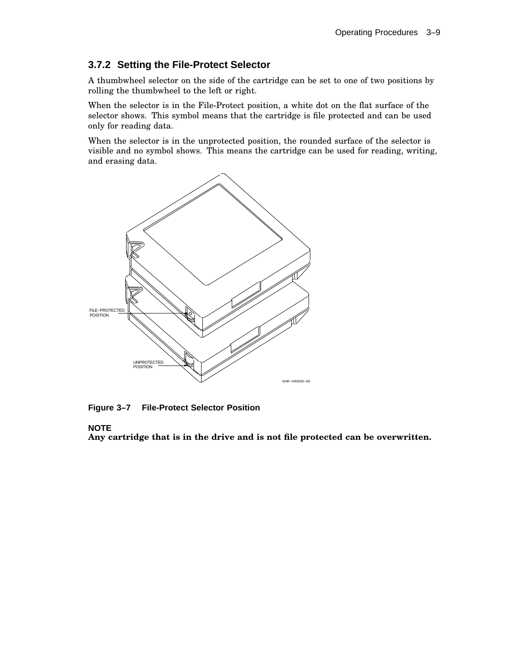### **3.7.2 Setting the File-Protect Selector**

A thumbwheel selector on the side of the cartridge can be set to one of two positions by rolling the thumbwheel to the left or right.

When the selector is in the File-Protect position, a white dot on the flat surface of the selector shows. This symbol means that the cartridge is file protected and can be used only for reading data.

When the selector is in the unprotected position, the rounded surface of the selector is visible and no symbol shows. This means the cartridge can be used for reading, writing, and erasing data.



**Figure 3–7 File-Protect Selector Position**

#### **NOTE**

**Any cartridge that is in the drive and is not file protected can be overwritten.**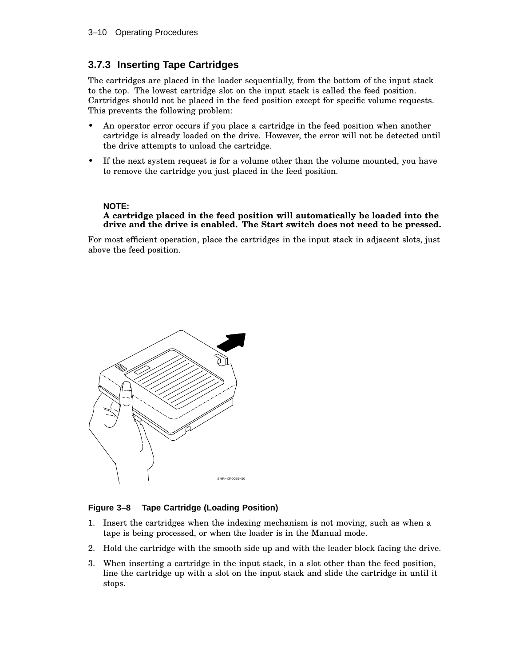### **3.7.3 Inserting Tape Cartridges**

The cartridges are placed in the loader sequentially, from the bottom of the input stack to the top. The lowest cartridge slot on the input stack is called the feed position. Cartridges should not be placed in the feed position except for specific volume requests. This prevents the following problem:

- An operator error occurs if you place a cartridge in the feed position when another cartridge is already loaded on the drive. However, the error will not be detected until the drive attempts to unload the cartridge.
- If the next system request is for a volume other than the volume mounted, you have to remove the cartridge you just placed in the feed position.

#### **NOTE:**

#### **A cartridge placed in the feed position will automatically be loaded into the drive and the drive is enabled. The Start switch does not need to be pressed.**

For most efficient operation, place the cartridges in the input stack in adjacent slots, just above the feed position.



#### **Figure 3–8 Tape Cartridge (Loading Position)**

- 1. Insert the cartridges when the indexing mechanism is not moving, such as when a tape is being processed, or when the loader is in the Manual mode.
- 2. Hold the cartridge with the smooth side up and with the leader block facing the drive.
- 3. When inserting a cartridge in the input stack, in a slot other than the feed position, line the cartridge up with a slot on the input stack and slide the cartridge in until it stops.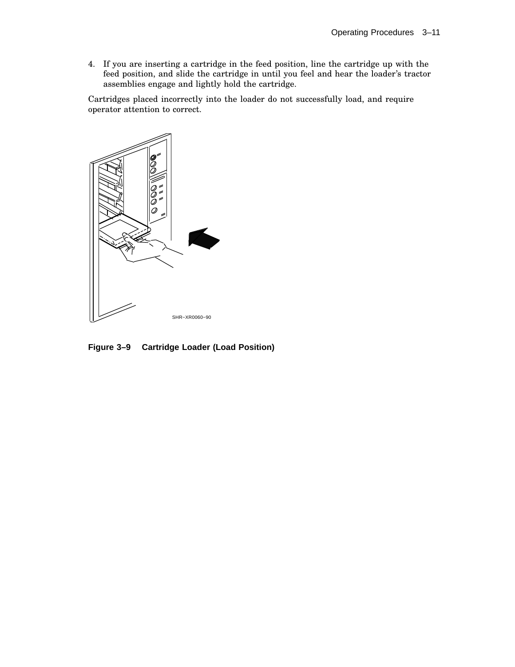4. If you are inserting a cartridge in the feed position, line the cartridge up with the feed position, and slide the cartridge in until you feel and hear the loader's tractor assemblies engage and lightly hold the cartridge.

Cartridges placed incorrectly into the loader do not successfully load, and require operator attention to correct.



**Figure 3–9 Cartridge Loader (Load Position)**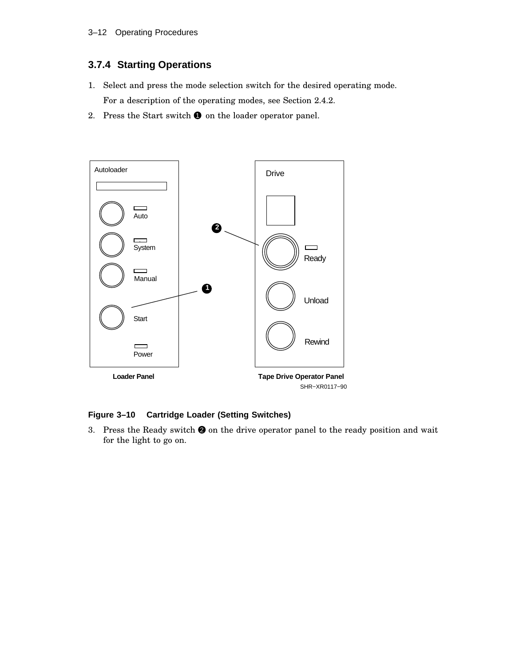### **3.7.4 Starting Operations**

- 1. Select and press the mode selection switch for the desired operating mode. For a description of the operating modes, see Section 2.4.2.
- 2. Press the Start switch  $\bullet$  on the loader operator panel.



### **Figure 3–10 Cartridge Loader (Setting Switches)**

3. Press the Ready switch  $\bullet$  on the drive operator panel to the ready position and wait for the light to go on.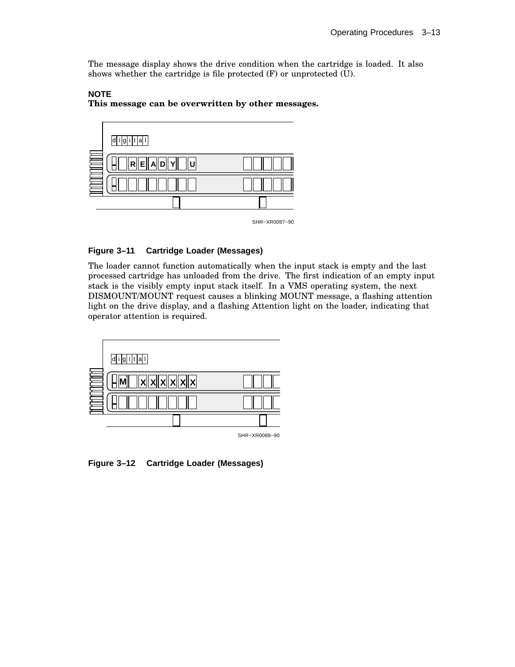The message display shows the drive condition when the cartridge is loaded. It also shows whether the cartridge is file protected (F) or unprotected (U).



**NOTE This message can be overwritten by other messages.**

#### SHR−XR0087−90

#### **Figure 3–11 Cartridge Loader (Messages)**

The loader cannot function automatically when the input stack is empty and the last processed cartridge has unloaded from the drive. The first indication of an empty input stack is the visibly empty input stack itself. In a VMS operating system, the next DISMOUNT/MOUNT request causes a blinking MOUNT message, a flashing attention light on the drive display, and a flashing Attention light on the loader, indicating that operator attention is required.



**Figure 3–12 Cartridge Loader (Messages)**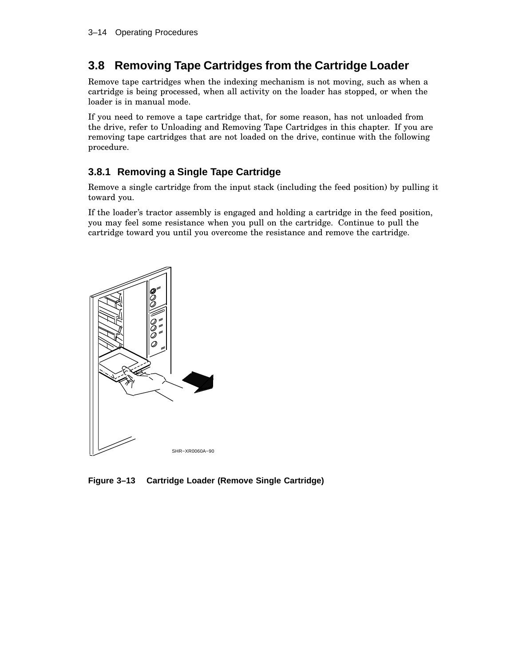## **3.8 Removing Tape Cartridges from the Cartridge Loader**

Remove tape cartridges when the indexing mechanism is not moving, such as when a cartridge is being processed, when all activity on the loader has stopped, or when the loader is in manual mode.

If you need to remove a tape cartridge that, for some reason, has not unloaded from the drive, refer to Unloading and Removing Tape Cartridges in this chapter. If you are removing tape cartridges that are not loaded on the drive, continue with the following procedure.

### **3.8.1 Removing a Single Tape Cartridge**

Remove a single cartridge from the input stack (including the feed position) by pulling it toward you.

If the loader's tractor assembly is engaged and holding a cartridge in the feed position, you may feel some resistance when you pull on the cartridge. Continue to pull the cartridge toward you until you overcome the resistance and remove the cartridge.



**Figure 3–13 Cartridge Loader (Remove Single Cartridge)**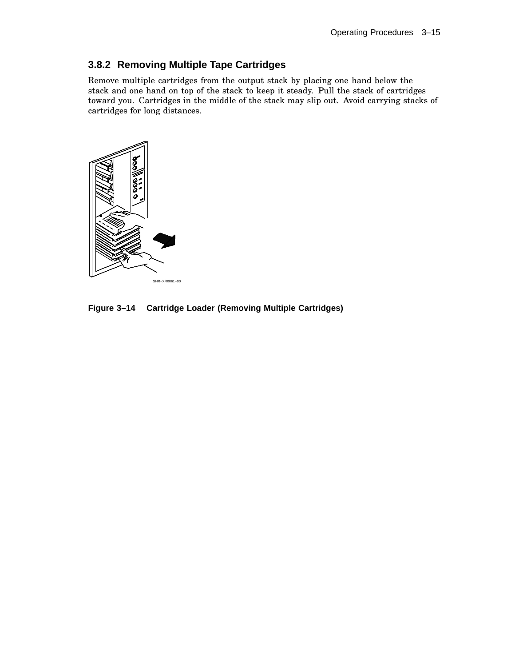### **3.8.2 Removing Multiple Tape Cartridges**

Remove multiple cartridges from the output stack by placing one hand below the stack and one hand on top of the stack to keep it steady. Pull the stack of cartridges toward you. Cartridges in the middle of the stack may slip out. Avoid carrying stacks of cartridges for long distances.



**Figure 3–14 Cartridge Loader (Removing Multiple Cartridges)**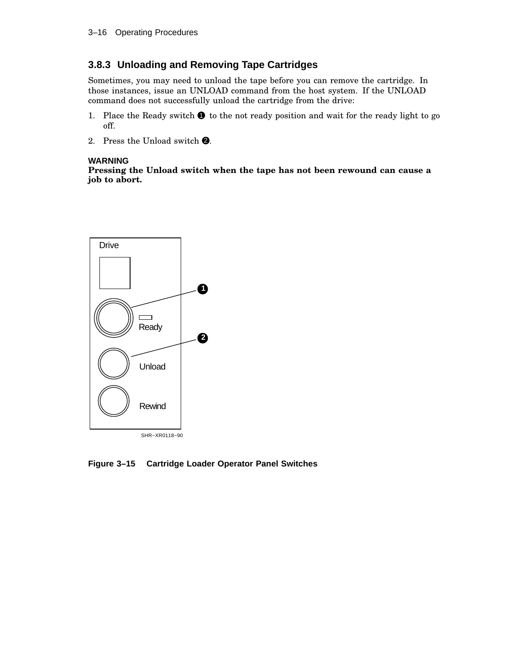### **3.8.3 Unloading and Removing Tape Cartridges**

Sometimes, you may need to unload the tape before you can remove the cartridge. In those instances, issue an UNLOAD command from the host system. If the UNLOAD command does not successfully unload the cartridge from the drive:

- 1. Place the Ready switch  $\bullet$  to the not ready position and wait for the ready light to go off.
- 2. Press the Unload switch  $\bullet$ .

#### **WARNING**

**Pressing the Unload switch when the tape has not been rewound can cause a job to abort.**



**Figure 3–15 Cartridge Loader Operator Panel Switches**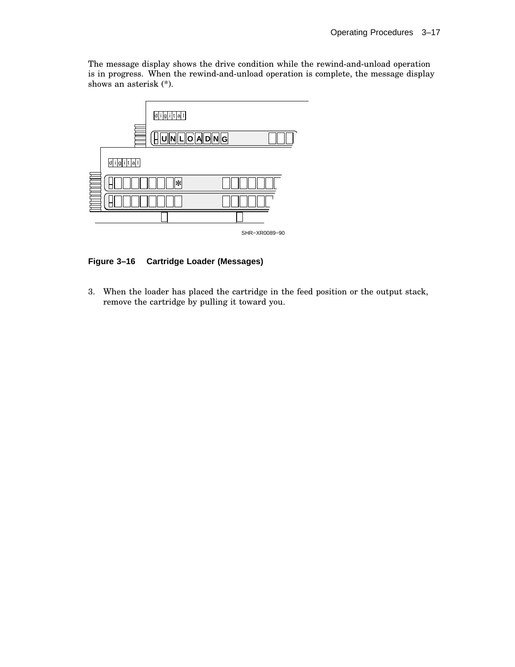The message display shows the drive condition while the rewind-and-unload operation is in progress. When the rewind-and-unload operation is complete, the message display shows an asterisk (\*).



**Figure 3–16 Cartridge Loader (Messages)**

3. When the loader has placed the cartridge in the feed position or the output stack, remove the cartridge by pulling it toward you.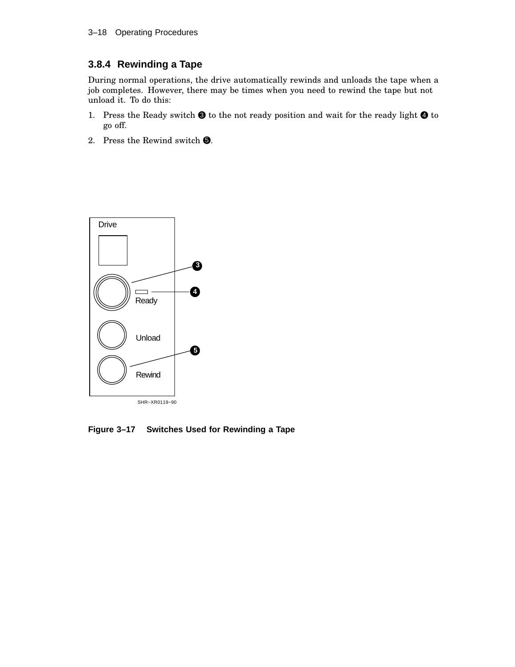### **3.8.4 Rewinding a Tape**

During normal operations, the drive automatically rewinds and unloads the tape when a job completes. However, there may be times when you need to rewind the tape but not unload it. To do this:

- 1. Press the Ready switch  $\bigcirc$  to the not ready position and wait for the ready light  $\bigcirc$  to go off.
- 2. Press the Rewind switch  $\Theta$ .



**Figure 3–17 Switches Used for Rewinding a Tape**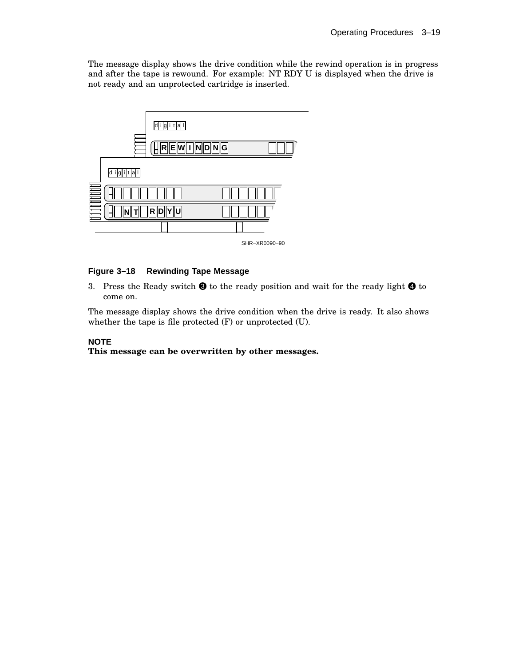The message display shows the drive condition while the rewind operation is in progress and after the tape is rewound. For example: NT RDY U is displayed when the drive is not ready and an unprotected cartridge is inserted.



#### SHR−XR0090−90

#### **Figure 3–18 Rewinding Tape Message**

3. Press the Ready switch  $\bigcirc$  to the ready position and wait for the ready light  $\bigcirc$  to come on.

The message display shows the drive condition when the drive is ready. It also shows whether the tape is file protected (F) or unprotected (U).

#### **NOTE**

**This message can be overwritten by other messages.**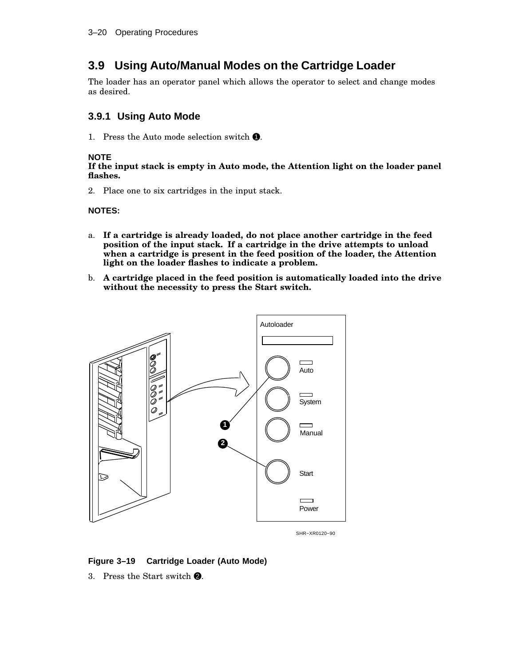## **3.9 Using Auto/Manual Modes on the Cartridge Loader**

The loader has an operator panel which allows the operator to select and change modes as desired.

### **3.9.1 Using Auto Mode**

1. Press the Auto mode selection switch  $\bullet$ .

#### **NOTE**

**If the input stack is empty in Auto mode, the Attention light on the loader panel flashes.**

2. Place one to six cartridges in the input stack.

#### **NOTES:**

- a. **If a cartridge is already loaded, do not place another cartridge in the feed position of the input stack. If a cartridge in the drive attempts to unload when a cartridge is present in the feed position of the loader, the Attention light on the loader flashes to indicate a problem.**
- b. **A cartridge placed in the feed position is automatically loaded into the drive without the necessity to press the Start switch.**



SHR−XR0120−90

#### **Figure 3–19 Cartridge Loader (Auto Mode)**

3. Press the Start switch  $\bullet$ .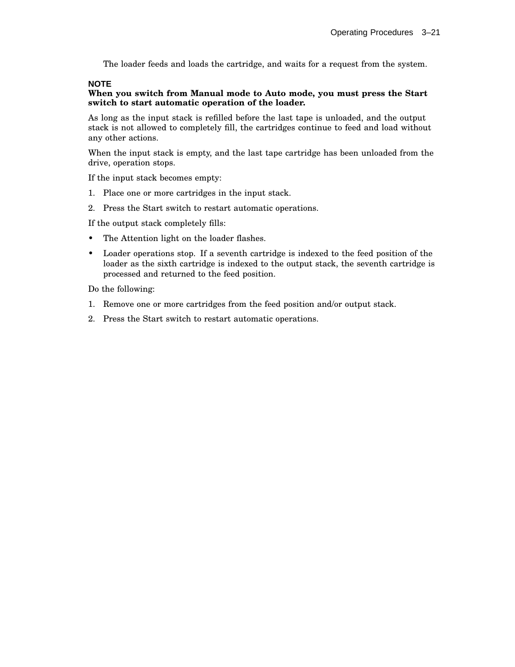The loader feeds and loads the cartridge, and waits for a request from the system.

#### **NOTE**

#### **When you switch from Manual mode to Auto mode, you must press the Start switch to start automatic operation of the loader.**

As long as the input stack is refilled before the last tape is unloaded, and the output stack is not allowed to completely fill, the cartridges continue to feed and load without any other actions.

When the input stack is empty, and the last tape cartridge has been unloaded from the drive, operation stops.

If the input stack becomes empty:

- 1. Place one or more cartridges in the input stack.
- 2. Press the Start switch to restart automatic operations.

If the output stack completely fills:

- The Attention light on the loader flashes.
- Loader operations stop. If a seventh cartridge is indexed to the feed position of the loader as the sixth cartridge is indexed to the output stack, the seventh cartridge is processed and returned to the feed position.

Do the following:

- 1. Remove one or more cartridges from the feed position and/or output stack.
- 2. Press the Start switch to restart automatic operations.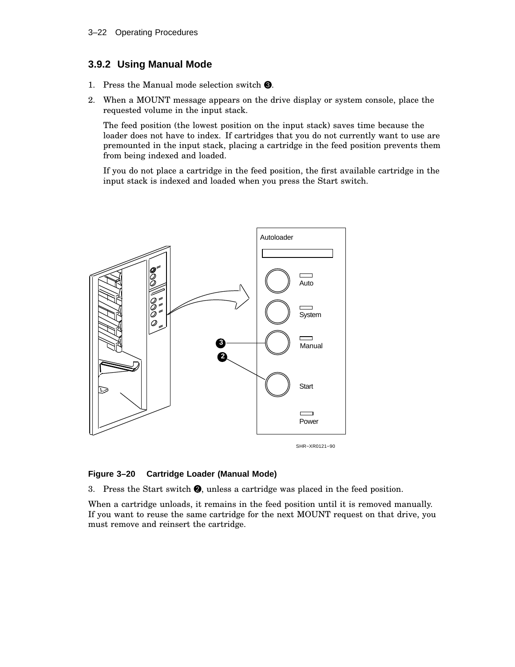### **3.9.2 Using Manual Mode**

- 1. Press the Manual mode selection switch  $\bigcirc$ .
- 2. When a MOUNT message appears on the drive display or system console, place the requested volume in the input stack.

The feed position (the lowest position on the input stack) saves time because the loader does not have to index. If cartridges that you do not currently want to use are premounted in the input stack, placing a cartridge in the feed position prevents them from being indexed and loaded.

If you do not place a cartridge in the feed position, the first available cartridge in the input stack is indexed and loaded when you press the Start switch.



#### **Figure 3–20 Cartridge Loader (Manual Mode)**

3. Press the Start switch  $\Theta$ , unless a cartridge was placed in the feed position.

When a cartridge unloads, it remains in the feed position until it is removed manually. If you want to reuse the same cartridge for the next MOUNT request on that drive, you must remove and reinsert the cartridge.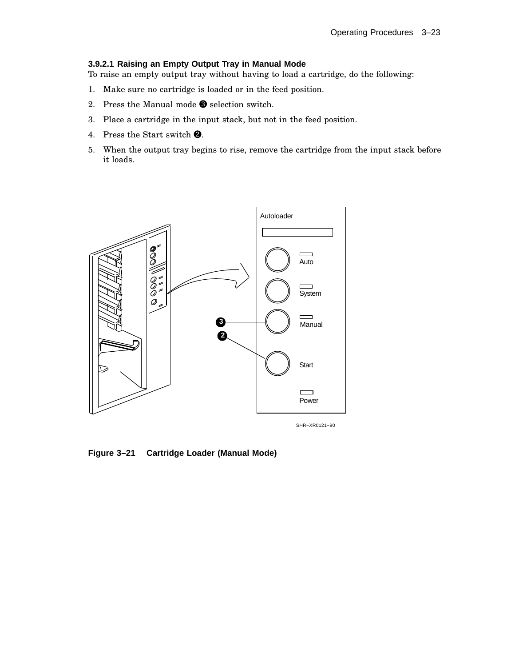#### **3.9.2.1 Raising an Empty Output Tray in Manual Mode**

To raise an empty output tray without having to load a cartridge, do the following:

- 1. Make sure no cartridge is loaded or in the feed position.
- 2. Press the Manual mode  $\bullet$  selection switch.
- 3. Place a cartridge in the input stack, but not in the feed position.
- 4. Press the Start switch  $\bullet$ .
- 5. When the output tray begins to rise, remove the cartridge from the input stack before it loads.



SHR−XR0121−90

**Figure 3–21 Cartridge Loader (Manual Mode)**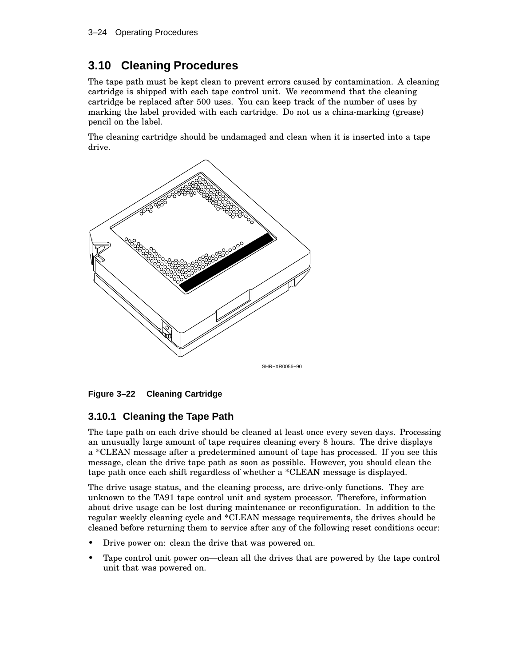## **3.10 Cleaning Procedures**

The tape path must be kept clean to prevent errors caused by contamination. A cleaning cartridge is shipped with each tape control unit. We recommend that the cleaning cartridge be replaced after 500 uses. You can keep track of the number of uses by marking the label provided with each cartridge. Do not us a china-marking (grease) pencil on the label.

The cleaning cartridge should be undamaged and clean when it is inserted into a tape drive.





### **3.10.1 Cleaning the Tape Path**

The tape path on each drive should be cleaned at least once every seven days. Processing an unusually large amount of tape requires cleaning every 8 hours. The drive displays a \*CLEAN message after a predetermined amount of tape has processed. If you see this message, clean the drive tape path as soon as possible. However, you should clean the tape path once each shift regardless of whether a \*CLEAN message is displayed.

The drive usage status, and the cleaning process, are drive-only functions. They are unknown to the TA91 tape control unit and system processor. Therefore, information about drive usage can be lost during maintenance or reconfiguration. In addition to the regular weekly cleaning cycle and \*CLEAN message requirements, the drives should be cleaned before returning them to service after any of the following reset conditions occur:

- Drive power on: clean the drive that was powered on.
- Tape control unit power on—clean all the drives that are powered by the tape control unit that was powered on.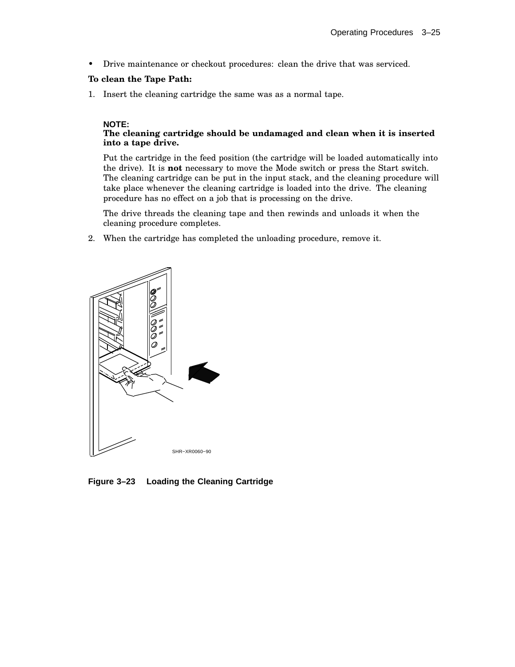• Drive maintenance or checkout procedures: clean the drive that was serviced.

#### **To clean the Tape Path:**

1. Insert the cleaning cartridge the same was as a normal tape.

#### **NOTE:**

#### **The cleaning cartridge should be undamaged and clean when it is inserted into a tape drive.**

Put the cartridge in the feed position (the cartridge will be loaded automatically into the drive). It is **not** necessary to move the Mode switch or press the Start switch. The cleaning cartridge can be put in the input stack, and the cleaning procedure will take place whenever the cleaning cartridge is loaded into the drive. The cleaning procedure has no effect on a job that is processing on the drive.

The drive threads the cleaning tape and then rewinds and unloads it when the cleaning procedure completes.

2. When the cartridge has completed the unloading procedure, remove it.



**Figure 3–23 Loading the Cleaning Cartridge**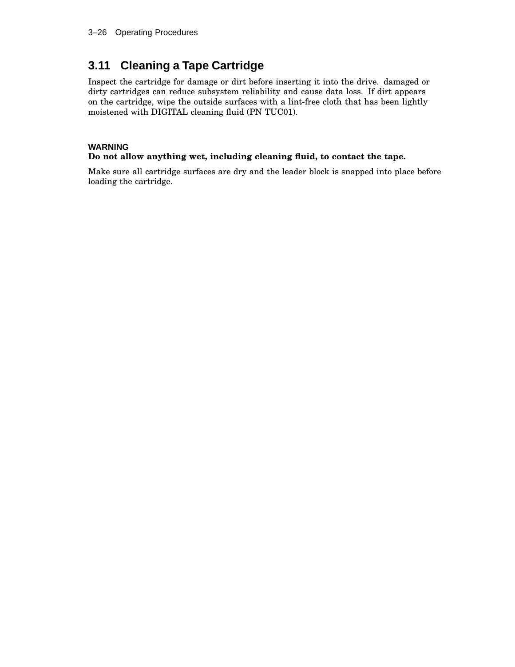## **3.11 Cleaning a Tape Cartridge**

Inspect the cartridge for damage or dirt before inserting it into the drive. damaged or dirty cartridges can reduce subsystem reliability and cause data loss. If dirt appears on the cartridge, wipe the outside surfaces with a lint-free cloth that has been lightly moistened with DIGITAL cleaning fluid (PN TUC01).

### **WARNING**

### **Do not allow anything wet, including cleaning fluid, to contact the tape.**

Make sure all cartridge surfaces are dry and the leader block is snapped into place before loading the cartridge.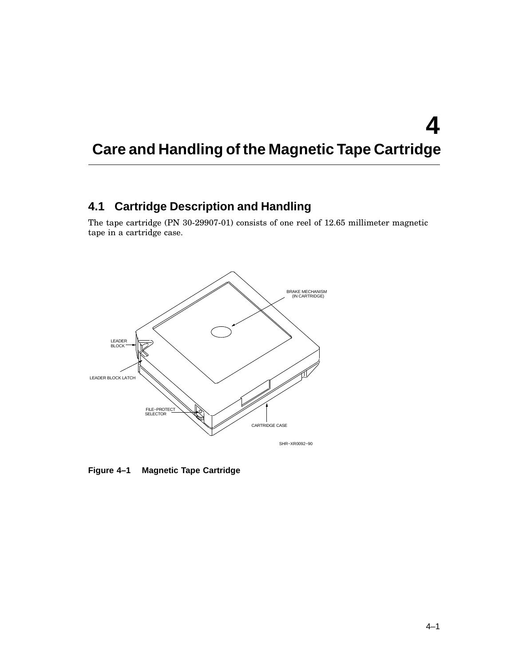# **Care and Handling of the Magnetic Tape Cartridge**

## **4.1 Cartridge Description and Handling**

The tape cartridge (PN 30-29907-01) consists of one reel of 12.65 millimeter magnetic tape in a cartridge case.



**Figure 4–1 Magnetic Tape Cartridge**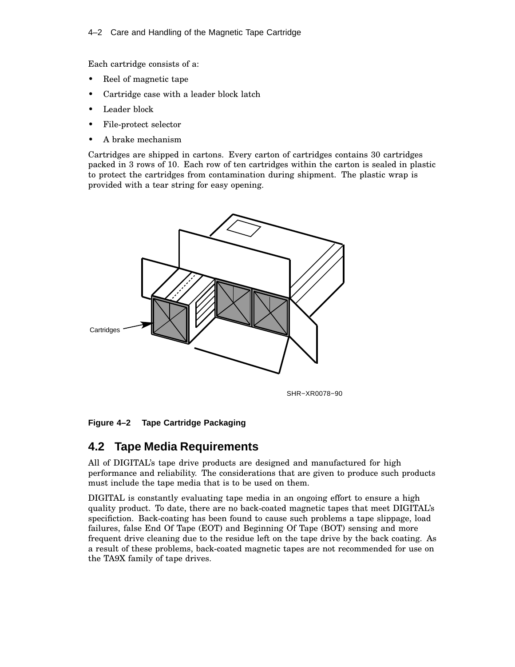#### 4–2 Care and Handling of the Magnetic Tape Cartridge

Each cartridge consists of a:

- Reel of magnetic tape
- Cartridge case with a leader block latch
- Leader block
- File-protect selector
- A brake mechanism

Cartridges are shipped in cartons. Every carton of cartridges contains 30 cartridges packed in 3 rows of 10. Each row of ten cartridges within the carton is sealed in plastic to protect the cartridges from contamination during shipment. The plastic wrap is provided with a tear string for easy opening.



SHR−XR0078−90

**Figure 4–2 Tape Cartridge Packaging**

## **4.2 Tape Media Requirements**

All of DIGITAL's tape drive products are designed and manufactured for high performance and reliability. The considerations that are given to produce such products must include the tape media that is to be used on them.

DIGITAL is constantly evaluating tape media in an ongoing effort to ensure a high quality product. To date, there are no back-coated magnetic tapes that meet DIGITAL's specifiction. Back-coating has been found to cause such problems a tape slippage, load failures, false End Of Tape (EOT) and Beginning Of Tape (BOT) sensing and more frequent drive cleaning due to the residue left on the tape drive by the back coating. As a result of these problems, back-coated magnetic tapes are not recommended for use on the TA9X family of tape drives.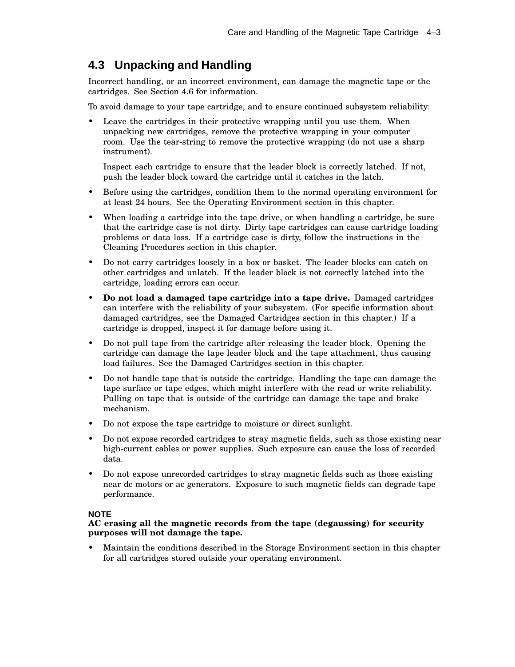## **4.3 Unpacking and Handling**

Incorrect handling, or an incorrect environment, can damage the magnetic tape or the cartridges. See Section 4.6 for information.

To avoid damage to your tape cartridge, and to ensure continued subsystem reliability:

Leave the cartridges in their protective wrapping until you use them. When unpacking new cartridges, remove the protective wrapping in your computer room. Use the tear-string to remove the protective wrapping (do not use a sharp instrument).

Inspect each cartridge to ensure that the leader block is correctly latched. If not, push the leader block toward the cartridge until it catches in the latch.

- Before using the cartridges, condition them to the normal operating environment for at least 24 hours. See the Operating Environment section in this chapter.
- When loading a cartridge into the tape drive, or when handling a cartridge, be sure that the cartridge case is not dirty. Dirty tape cartridges can cause cartridge loading problems or data loss. If a cartridge case is dirty, follow the instructions in the Cleaning Procedures section in this chapter.
- Do not carry cartridges loosely in a box or basket. The leader blocks can catch on other cartridges and unlatch. If the leader block is not correctly latched into the cartridge, loading errors can occur.
- **Do not load a damaged tape cartridge into a tape drive.** Damaged cartridges can interfere with the reliability of your subsystem. (For specific information about damaged cartridges, see the Damaged Cartridges section in this chapter.) If a cartridge is dropped, inspect it for damage before using it.
- Do not pull tape from the cartridge after releasing the leader block. Opening the cartridge can damage the tape leader block and the tape attachment, thus causing load failures. See the Damaged Cartridges section in this chapter.
- Do not handle tape that is outside the cartridge. Handling the tape can damage the tape surface or tape edges, which might interfere with the read or write reliability. Pulling on tape that is outside of the cartridge can damage the tape and brake mechanism.
- Do not expose the tape cartridge to moisture or direct sunlight.
- Do not expose recorded cartridges to stray magnetic fields, such as those existing near high-current cables or power supplies. Such exposure can cause the loss of recorded data.
- Do not expose unrecorded cartridges to stray magnetic fields such as those existing near dc motors or ac generators. Exposure to such magnetic fields can degrade tape performance.

#### **NOTE**

#### **AC erasing all the magnetic records from the tape (degaussing) for security purposes will not damage the tape.**

• Maintain the conditions described in the Storage Environment section in this chapter for all cartridges stored outside your operating environment.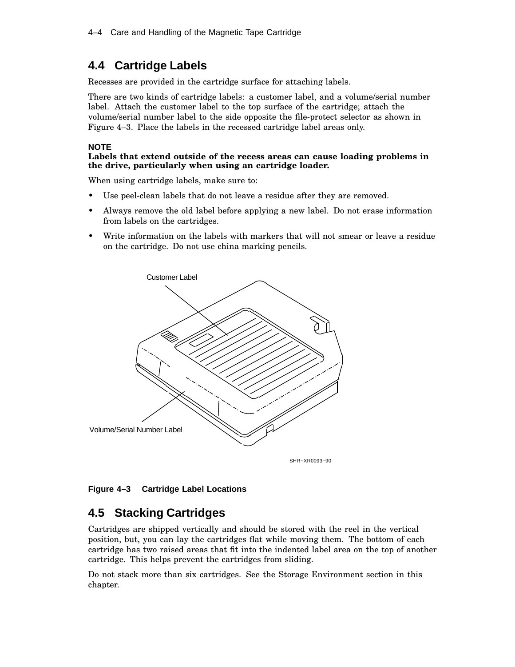## **4.4 Cartridge Labels**

Recesses are provided in the cartridge surface for attaching labels.

There are two kinds of cartridge labels: a customer label, and a volume/serial number label. Attach the customer label to the top surface of the cartridge; attach the volume/serial number label to the side opposite the file-protect selector as shown in Figure 4–3. Place the labels in the recessed cartridge label areas only.

#### **NOTE**

#### **Labels that extend outside of the recess areas can cause loading problems in the drive, particularly when using an cartridge loader.**

When using cartridge labels, make sure to:

- Use peel-clean labels that do not leave a residue after they are removed.
- Always remove the old label before applying a new label. Do not erase information from labels on the cartridges.
- Write information on the labels with markers that will not smear or leave a residue on the cartridge. Do not use china marking pencils.



### **Figure 4–3 Cartridge Label Locations**

## **4.5 Stacking Cartridges**

Cartridges are shipped vertically and should be stored with the reel in the vertical position, but, you can lay the cartridges flat while moving them. The bottom of each cartridge has two raised areas that fit into the indented label area on the top of another cartridge. This helps prevent the cartridges from sliding.

Do not stack more than six cartridges. See the Storage Environment section in this chapter.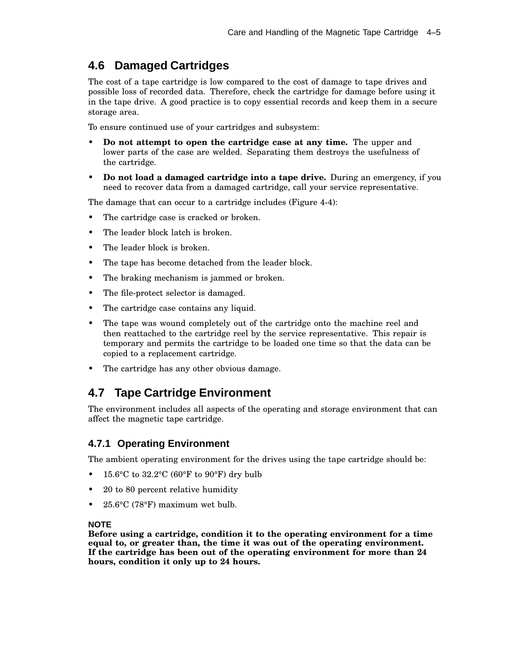## **4.6 Damaged Cartridges**

The cost of a tape cartridge is low compared to the cost of damage to tape drives and possible loss of recorded data. Therefore, check the cartridge for damage before using it in the tape drive. A good practice is to copy essential records and keep them in a secure storage area.

To ensure continued use of your cartridges and subsystem:

- **Do not attempt to open the cartridge case at any time.** The upper and lower parts of the case are welded. Separating them destroys the usefulness of the cartridge.
- **Do not load a damaged cartridge into a tape drive.** During an emergency, if you need to recover data from a damaged cartridge, call your service representative.

The damage that can occur to a cartridge includes (Figure 4-4):

- The cartridge case is cracked or broken.
- The leader block latch is broken.
- The leader block is broken.
- The tape has become detached from the leader block.
- The braking mechanism is jammed or broken.
- The file-protect selector is damaged.
- The cartridge case contains any liquid.
- The tape was wound completely out of the cartridge onto the machine reel and then reattached to the cartridge reel by the service representative. This repair is temporary and permits the cartridge to be loaded one time so that the data can be copied to a replacement cartridge.
- The cartridge has any other obvious damage.

### **4.7 Tape Cartridge Environment**

The environment includes all aspects of the operating and storage environment that can affect the magnetic tape cartridge.

#### **4.7.1 Operating Environment**

The ambient operating environment for the drives using the tape cartridge should be:

- 15.6°C to 32.2°C (60°F to 90°F) dry bulb
- 20 to 80 percent relative humidity
- 25.6°C (78°F) maximum wet bulb.

#### **NOTE**

**Before using a cartridge, condition it to the operating environment for a time equal to, or greater than, the time it was out of the operating environment. If the cartridge has been out of the operating environment for more than 24 hours, condition it only up to 24 hours.**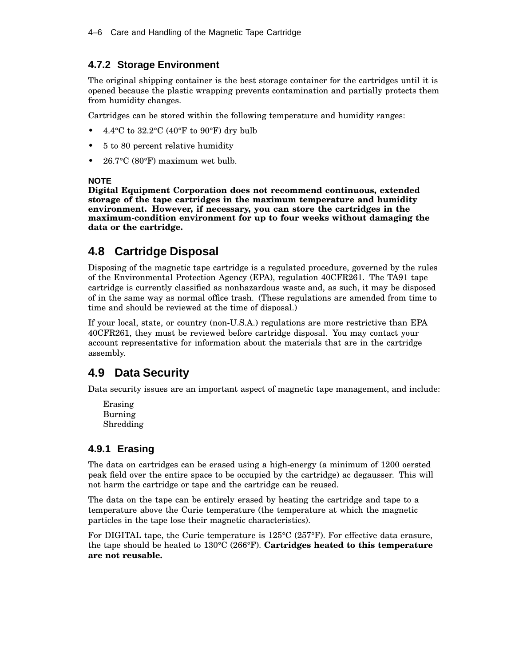### **4.7.2 Storage Environment**

The original shipping container is the best storage container for the cartridges until it is opened because the plastic wrapping prevents contamination and partially protects them from humidity changes.

Cartridges can be stored within the following temperature and humidity ranges:

- 4.4 $\rm ^{o}C$  to 32.2 $\rm ^{o}C$  (40 $\rm ^{o}F$  to 90 $\rm ^{o}F$ ) dry bulb
- 5 to 80 percent relative humidity
- $26.7$ °C (80°F) maximum wet bulb.

#### **NOTE**

**Digital Equipment Corporation does not recommend continuous, extended storage of the tape cartridges in the maximum temperature and humidity environment. However, if necessary, you can store the cartridges in the maximum-condition environment for up to four weeks without damaging the data or the cartridge.**

## **4.8 Cartridge Disposal**

Disposing of the magnetic tape cartridge is a regulated procedure, governed by the rules of the Environmental Protection Agency (EPA), regulation 40CFR261. The TA91 tape cartridge is currently classified as nonhazardous waste and, as such, it may be disposed of in the same way as normal office trash. (These regulations are amended from time to time and should be reviewed at the time of disposal.)

If your local, state, or country (non-U.S.A.) regulations are more restrictive than EPA 40CFR261, they must be reviewed before cartridge disposal. You may contact your account representative for information about the materials that are in the cartridge assembly.

## **4.9 Data Security**

Data security issues are an important aspect of magnetic tape management, and include:

Erasing Burning Shredding

### **4.9.1 Erasing**

The data on cartridges can be erased using a high-energy (a minimum of 1200 oersted peak field over the entire space to be occupied by the cartridge) ac degausser. This will not harm the cartridge or tape and the cartridge can be reused.

The data on the tape can be entirely erased by heating the cartridge and tape to a temperature above the Curie temperature (the temperature at which the magnetic particles in the tape lose their magnetic characteristics).

For DIGITAL tape, the Curie temperature is 125°C (257°F). For effective data erasure, the tape should be heated to 130°C (266°F). **Cartridges heated to this temperature are not reusable.**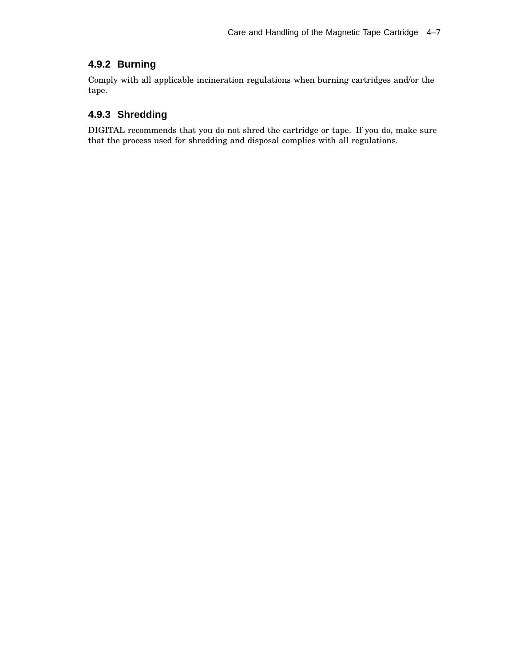### **4.9.2 Burning**

Comply with all applicable incineration regulations when burning cartridges and/or the tape.

### **4.9.3 Shredding**

DIGITAL recommends that you do not shred the cartridge or tape. If you do, make sure that the process used for shredding and disposal complies with all regulations.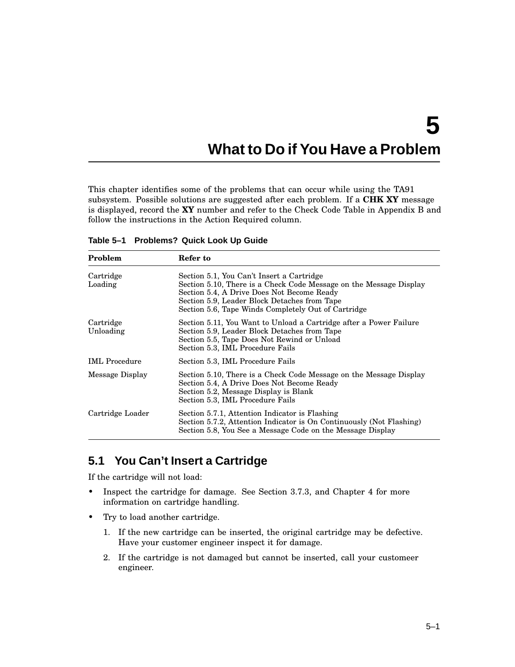# **What to Do if You Have a Problem**

This chapter identifies some of the problems that can occur while using the TA91 subsystem. Possible solutions are suggested after each problem. If a **CHK XY** message is displayed, record the **XY** number and refer to the Check Code Table in Appendix B and follow the instructions in the Action Required column.

| Problem                | Refer to                                                                                                                                                                                                                                                             |
|------------------------|----------------------------------------------------------------------------------------------------------------------------------------------------------------------------------------------------------------------------------------------------------------------|
| Cartridge<br>Loading   | Section 5.1, You Can't Insert a Cartridge<br>Section 5.10, There is a Check Code Message on the Message Display<br>Section 5.4, A Drive Does Not Become Ready<br>Section 5.9, Leader Block Detaches from Tape<br>Section 5.6, Tape Winds Completely Out of Cartridge |
| Cartridge<br>Unloading | Section 5.11, You Want to Unload a Cartridge after a Power Failure<br>Section 5.9, Leader Block Detaches from Tape<br>Section 5.5, Tape Does Not Rewind or Unload<br>Section 5.3, IML Procedure Fails                                                                |
| <b>IML</b> Procedure   | Section 5.3, IML Procedure Fails                                                                                                                                                                                                                                     |
| Message Display        | Section 5.10, There is a Check Code Message on the Message Display<br>Section 5.4, A Drive Does Not Become Ready<br>Section 5.2, Message Display is Blank<br>Section 5.3, IML Procedure Fails                                                                        |
| Cartridge Loader       | Section 5.7.1, Attention Indicator is Flashing<br>Section 5.7.2, Attention Indicator is On Continuously (Not Flashing)<br>Section 5.8, You See a Message Code on the Message Display                                                                                 |

**Table 5–1 Problems? Quick Look Up Guide**

## **5.1 You Can't Insert a Cartridge**

If the cartridge will not load:

- Inspect the cartridge for damage. See Section 3.7.3, and Chapter 4 for more information on cartridge handling.
- Try to load another cartridge.
	- 1. If the new cartridge can be inserted, the original cartridge may be defective. Have your customer engineer inspect it for damage.
	- 2. If the cartridge is not damaged but cannot be inserted, call your customeer engineer.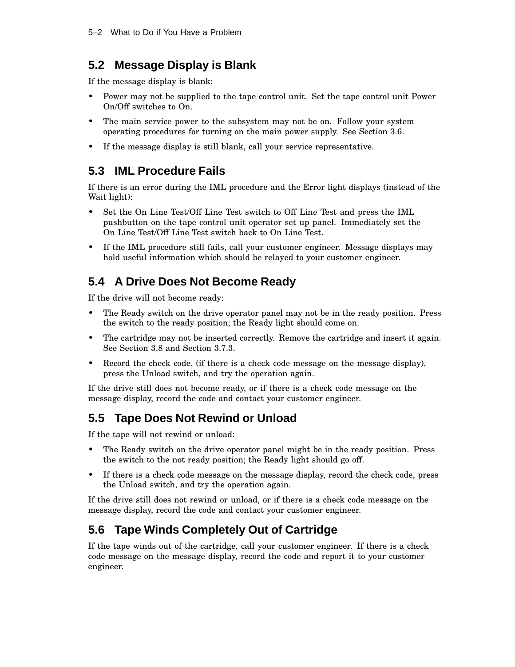## **5.2 Message Display is Blank**

If the message display is blank:

- Power may not be supplied to the tape control unit. Set the tape control unit Power On/Off switches to On.
- The main service power to the subsystem may not be on. Follow your system operating procedures for turning on the main power supply. See Section 3.6.
- If the message display is still blank, call your service representative.

## **5.3 IML Procedure Fails**

If there is an error during the IML procedure and the Error light displays (instead of the Wait light):

- Set the On Line Test/Off Line Test switch to Off Line Test and press the IML pushbutton on the tape control unit operator set up panel. Immediately set the On Line Test/Off Line Test switch back to On Line Test.
- If the IML procedure still fails, call your customer engineer. Message displays may hold useful information which should be relayed to your customer engineer.

## **5.4 A Drive Does Not Become Ready**

If the drive will not become ready:

- The Ready switch on the drive operator panel may not be in the ready position. Press the switch to the ready position; the Ready light should come on.
- The cartridge may not be inserted correctly. Remove the cartridge and insert it again. See Section 3.8 and Section 3.7.3.
- Record the check code, (if there is a check code message on the message display), press the Unload switch, and try the operation again.

If the drive still does not become ready, or if there is a check code message on the message display, record the code and contact your customer engineer.

## **5.5 Tape Does Not Rewind or Unload**

If the tape will not rewind or unload:

- The Ready switch on the drive operator panel might be in the ready position. Press the switch to the not ready position; the Ready light should go off.
- If there is a check code message on the message display, record the check code, press the Unload switch, and try the operation again.

If the drive still does not rewind or unload, or if there is a check code message on the message display, record the code and contact your customer engineer.

## **5.6 Tape Winds Completely Out of Cartridge**

If the tape winds out of the cartridge, call your customer engineer. If there is a check code message on the message display, record the code and report it to your customer engineer.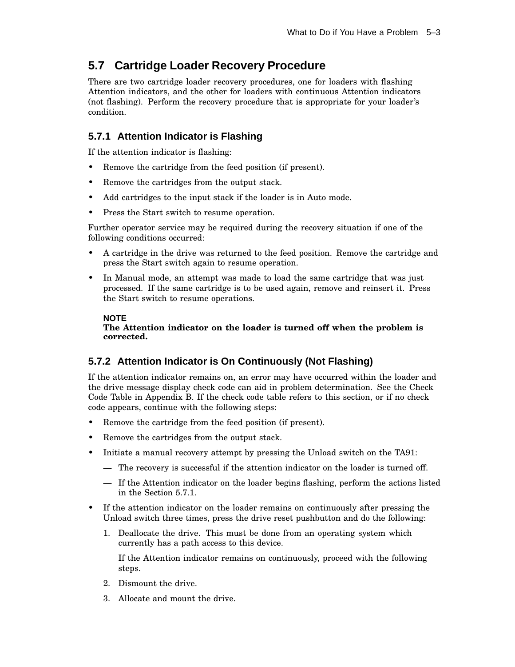## **5.7 Cartridge Loader Recovery Procedure**

There are two cartridge loader recovery procedures, one for loaders with flashing Attention indicators, and the other for loaders with continuous Attention indicators (not flashing). Perform the recovery procedure that is appropriate for your loader's condition.

### **5.7.1 Attention Indicator is Flashing**

If the attention indicator is flashing:

- Remove the cartridge from the feed position (if present).
- Remove the cartridges from the output stack.
- Add cartridges to the input stack if the loader is in Auto mode.
- Press the Start switch to resume operation.

Further operator service may be required during the recovery situation if one of the following conditions occurred:

- A cartridge in the drive was returned to the feed position. Remove the cartridge and press the Start switch again to resume operation.
- In Manual mode, an attempt was made to load the same cartridge that was just processed. If the same cartridge is to be used again, remove and reinsert it. Press the Start switch to resume operations.

#### **NOTE The Attention indicator on the loader is turned off when the problem is corrected.**

### **5.7.2 Attention Indicator is On Continuously (Not Flashing)**

If the attention indicator remains on, an error may have occurred within the loader and the drive message display check code can aid in problem determination. See the Check Code Table in Appendix B. If the check code table refers to this section, or if no check code appears, continue with the following steps:

- Remove the cartridge from the feed position (if present).
- Remove the cartridges from the output stack.
- Initiate a manual recovery attempt by pressing the Unload switch on the TA91:
	- The recovery is successful if the attention indicator on the loader is turned off.
	- If the Attention indicator on the loader begins flashing, perform the actions listed in the Section 5.7.1.
- If the attention indicator on the loader remains on continuously after pressing the Unload switch three times, press the drive reset pushbutton and do the following:
	- 1. Deallocate the drive. This must be done from an operating system which currently has a path access to this device.

If the Attention indicator remains on continuously, proceed with the following steps.

- 2. Dismount the drive.
- 3. Allocate and mount the drive.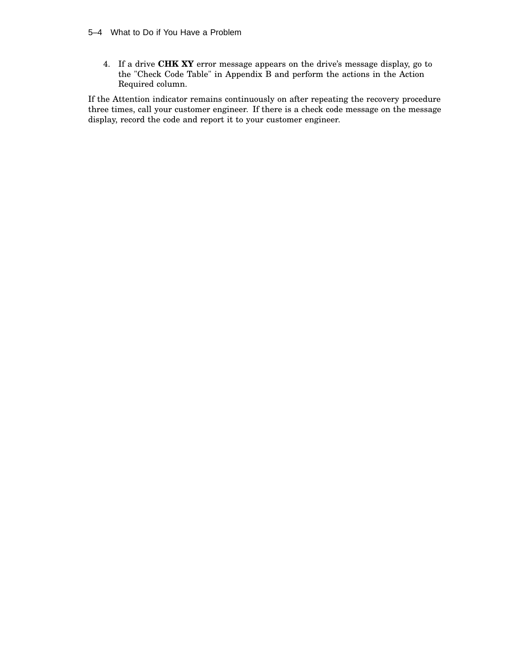#### 5–4 What to Do if You Have a Problem

4. If a drive **CHK XY** error message appears on the drive's message display, go to the "Check Code Table" in Appendix B and perform the actions in the Action Required column.

If the Attention indicator remains continuously on after repeating the recovery procedure three times, call your customer engineer. If there is a check code message on the message display, record the code and report it to your customer engineer.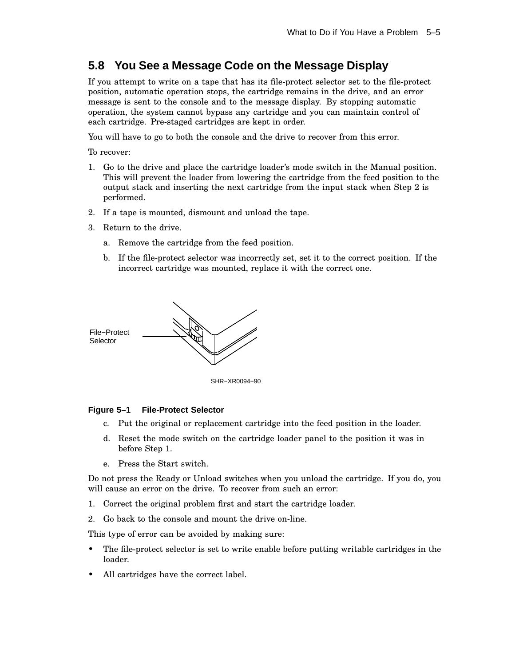# **5.8 You See a Message Code on the Message Display**

If you attempt to write on a tape that has its file-protect selector set to the file-protect position, automatic operation stops, the cartridge remains in the drive, and an error message is sent to the console and to the message display. By stopping automatic operation, the system cannot bypass any cartridge and you can maintain control of each cartridge. Pre-staged cartridges are kept in order.

You will have to go to both the console and the drive to recover from this error.

To recover:

- 1. Go to the drive and place the cartridge loader's mode switch in the Manual position. This will prevent the loader from lowering the cartridge from the feed position to the output stack and inserting the next cartridge from the input stack when Step 2 is performed.
- 2. If a tape is mounted, dismount and unload the tape.
- 3. Return to the drive.
	- a. Remove the cartridge from the feed position.
	- b. If the file-protect selector was incorrectly set, set it to the correct position. If the incorrect cartridge was mounted, replace it with the correct one.



SHR−XR0094−90

#### **Figure 5–1 File-Protect Selector**

- c. Put the original or replacement cartridge into the feed position in the loader.
- d. Reset the mode switch on the cartridge loader panel to the position it was in before Step 1.
- e. Press the Start switch.

Do not press the Ready or Unload switches when you unload the cartridge. If you do, you will cause an error on the drive. To recover from such an error:

- 1. Correct the original problem first and start the cartridge loader.
- 2. Go back to the console and mount the drive on-line.

This type of error can be avoided by making sure:

- The file-protect selector is set to write enable before putting writable cartridges in the loader.
- All cartridges have the correct label.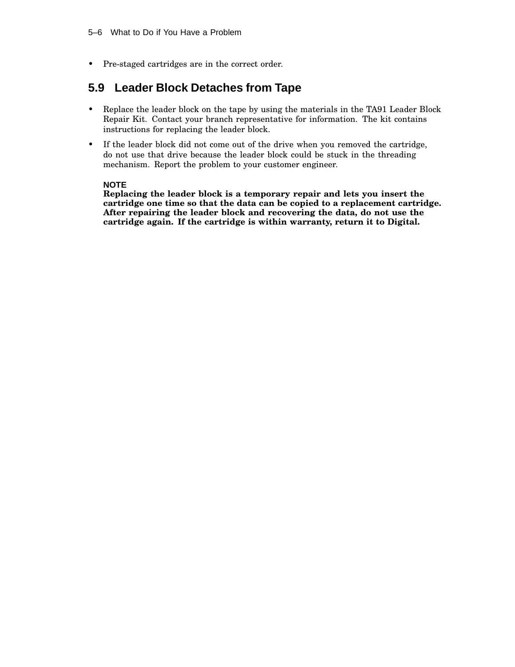• Pre-staged cartridges are in the correct order.

# **5.9 Leader Block Detaches from Tape**

- Replace the leader block on the tape by using the materials in the TA91 Leader Block Repair Kit. Contact your branch representative for information. The kit contains instructions for replacing the leader block.
- If the leader block did not come out of the drive when you removed the cartridge, do not use that drive because the leader block could be stuck in the threading mechanism. Report the problem to your customer engineer.

### **NOTE**

**Replacing the leader block is a temporary repair and lets you insert the cartridge one time so that the data can be copied to a replacement cartridge. After repairing the leader block and recovering the data, do not use the cartridge again. If the cartridge is within warranty, return it to Digital.**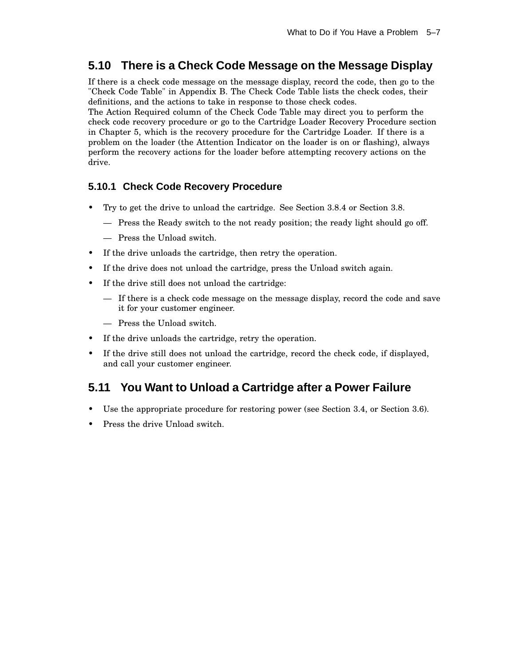# **5.10 There is a Check Code Message on the Message Display**

If there is a check code message on the message display, record the code, then go to the "Check Code Table" in Appendix B. The Check Code Table lists the check codes, their definitions, and the actions to take in response to those check codes.

The Action Required column of the Check Code Table may direct you to perform the check code recovery procedure or go to the Cartridge Loader Recovery Procedure section in Chapter 5, which is the recovery procedure for the Cartridge Loader. If there is a problem on the loader (the Attention Indicator on the loader is on or flashing), always perform the recovery actions for the loader before attempting recovery actions on the drive.

### **5.10.1 Check Code Recovery Procedure**

- Try to get the drive to unload the cartridge. See Section 3.8.4 or Section 3.8.
	- Press the Ready switch to the not ready position; the ready light should go off.
	- Press the Unload switch.
- If the drive unloads the cartridge, then retry the operation.
- If the drive does not unload the cartridge, press the Unload switch again.
- If the drive still does not unload the cartridge:
	- If there is a check code message on the message display, record the code and save it for your customer engineer.
	- Press the Unload switch.
- If the drive unloads the cartridge, retry the operation.
- If the drive still does not unload the cartridge, record the check code, if displayed, and call your customer engineer.

# **5.11 You Want to Unload a Cartridge after a Power Failure**

- Use the appropriate procedure for restoring power (see Section 3.4, or Section 3.6).
- Press the drive Unload switch.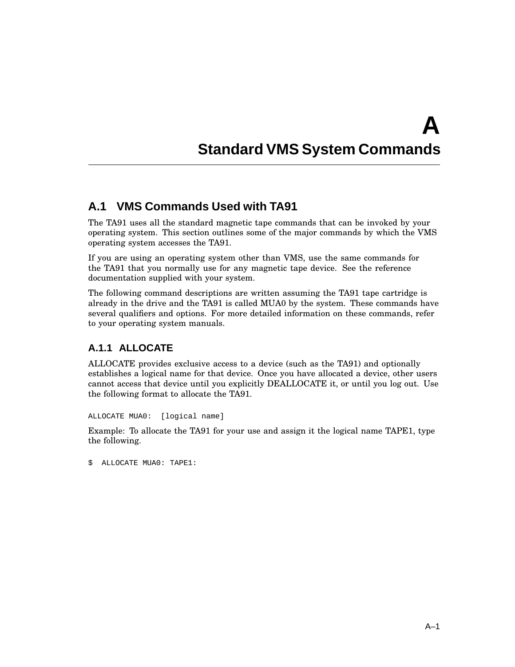# **A Standard VMS System Commands**

# **A.1 VMS Commands Used with TA91**

The TA91 uses all the standard magnetic tape commands that can be invoked by your operating system. This section outlines some of the major commands by which the VMS operating system accesses the TA91.

If you are using an operating system other than VMS, use the same commands for the TA91 that you normally use for any magnetic tape device. See the reference documentation supplied with your system.

The following command descriptions are written assuming the TA91 tape cartridge is already in the drive and the TA91 is called MUA0 by the system. These commands have several qualifiers and options. For more detailed information on these commands, refer to your operating system manuals.

# **A.1.1 ALLOCATE**

ALLOCATE provides exclusive access to a device (such as the TA91) and optionally establishes a logical name for that device. Once you have allocated a device, other users cannot access that device until you explicitly DEALLOCATE it, or until you log out. Use the following format to allocate the TA91.

ALLOCATE MUA0: [logical name]

Example: To allocate the TA91 for your use and assign it the logical name TAPE1, type the following.

\$ ALLOCATE MUA0: TAPE1: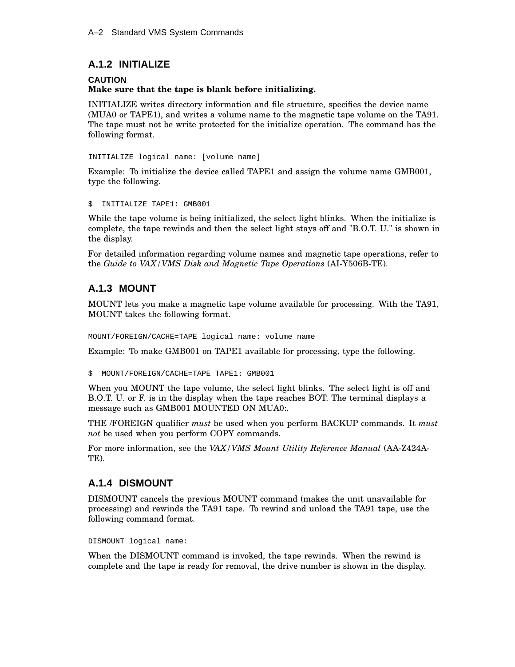## **A.1.2 INITIALIZE**

### **CAUTION Make sure that the tape is blank before initializing.**

INITIALIZE writes directory information and file structure, specifies the device name (MUA0 or TAPE1), and writes a volume name to the magnetic tape volume on the TA91. The tape must not be write protected for the initialize operation. The command has the following format.

INITIALIZE logical name: [volume name]

Example: To initialize the device called TAPE1 and assign the volume name GMB001, type the following.

\$ INITIALIZE TAPE1: GMB001

While the tape volume is being initialized, the select light blinks. When the initialize is complete, the tape rewinds and then the select light stays off and "B.O.T. U." is shown in the display.

For detailed information regarding volume names and magnetic tape operations, refer to the *Guide to VAX/VMS Disk and Magnetic Tape Operations* (AI-Y506B-TE).

### **A.1.3 MOUNT**

MOUNT lets you make a magnetic tape volume available for processing. With the TA91, MOUNT takes the following format.

MOUNT/FOREIGN/CACHE=TAPE logical name: volume name

Example: To make GMB001 on TAPE1 available for processing, type the following.

\$ MOUNT/FOREIGN/CACHE=TAPE TAPE1: GMB001

When you MOUNT the tape volume, the select light blinks. The select light is off and B.O.T. U. or F. is in the display when the tape reaches BOT. The terminal displays a message such as GMB001 MOUNTED ON MUA0:.

THE /FOREIGN qualifier *must* be used when you perform BACKUP commands. It *must not* be used when you perform COPY commands.

For more information, see the *VAX/VMS Mount Utility Reference Manual* (AA-Z424A-TE).

### **A.1.4 DISMOUNT**

DISMOUNT cancels the previous MOUNT command (makes the unit unavailable for processing) and rewinds the TA91 tape. To rewind and unload the TA91 tape, use the following command format.

DISMOUNT logical name:

When the DISMOUNT command is invoked, the tape rewinds. When the rewind is complete and the tape is ready for removal, the drive number is shown in the display.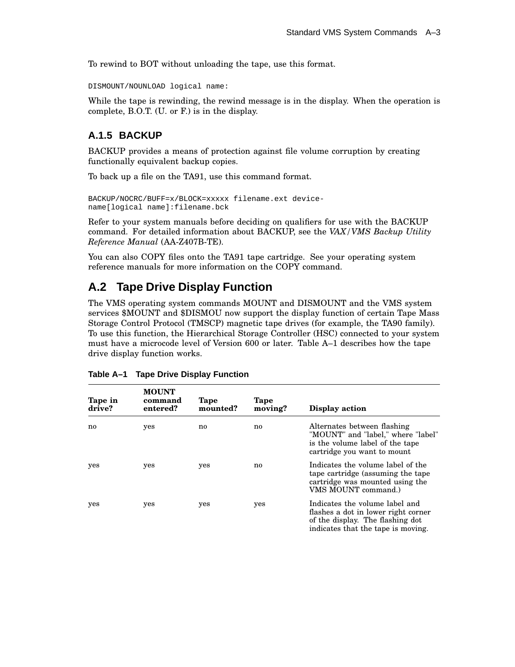To rewind to BOT without unloading the tape, use this format.

DISMOUNT/NOUNLOAD logical name:

While the tape is rewinding, the rewind message is in the display. When the operation is complete, B.O.T. (U. or F.) is in the display.

### **A.1.5 BACKUP**

BACKUP provides a means of protection against file volume corruption by creating functionally equivalent backup copies.

To back up a file on the TA91, use this command format.

```
BACKUP/NOCRC/BUFF=x/BLOCK=xxxxx filename.ext device-
name[logical name]:filename.bck
```
Refer to your system manuals before deciding on qualifiers for use with the BACKUP command. For detailed information about BACKUP, see the *VAX/VMS Backup Utility Reference Manual* (AA-Z407B-TE).

You can also COPY files onto the TA91 tape cartridge. See your operating system reference manuals for more information on the COPY command.

# **A.2 Tape Drive Display Function**

The VMS operating system commands MOUNT and DISMOUNT and the VMS system services \$MOUNT and \$DISMOU now support the display function of certain Tape Mass Storage Control Protocol (TMSCP) magnetic tape drives (for example, the TA90 family). To use this function, the Hierarchical Storage Controller (HSC) connected to your system must have a microcode level of Version 600 or later. Table A–1 describes how the tape drive display function works.

| Tape in<br>drive? | <b>MOUNT</b><br>command<br>entered? | Tape<br>mounted? | Tape<br>moving? | Display action                                                                                                                                  |
|-------------------|-------------------------------------|------------------|-----------------|-------------------------------------------------------------------------------------------------------------------------------------------------|
| no                | yes                                 | no               | no              | Alternates between flashing<br>"MOUNT" and "label," where "label"<br>is the volume label of the tape<br>cartridge you want to mount             |
| yes               | yes                                 | yes              | no              | Indicates the volume label of the<br>tape cartridge (assuming the tape<br>cartridge was mounted using the<br>VMS MOUNT command.)                |
| yes               | yes                                 | yes              | yes             | Indicates the volume label and<br>flashes a dot in lower right corner<br>of the display. The flashing dot<br>indicates that the tape is moving. |

| Table A-1 Tape Drive Display Function |  |  |
|---------------------------------------|--|--|
|                                       |  |  |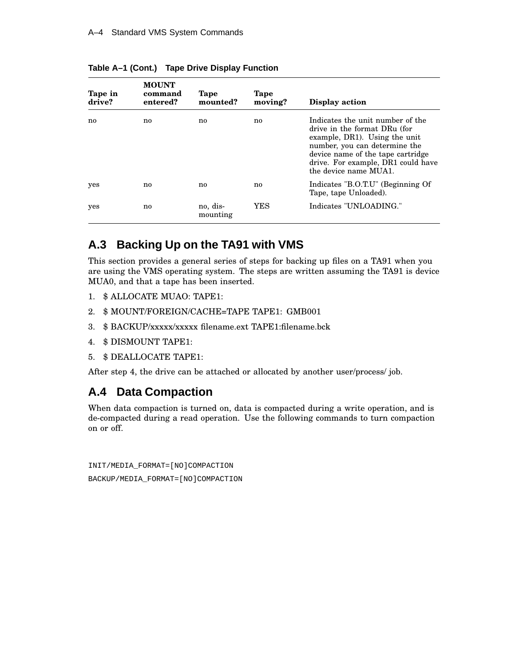| Tape in<br>drive? | <b>MOUNT</b><br>command<br>entered? | Tape<br>mounted?     | Tape<br>moving? | Display action                                                                                                                                                                                                                         |
|-------------------|-------------------------------------|----------------------|-----------------|----------------------------------------------------------------------------------------------------------------------------------------------------------------------------------------------------------------------------------------|
| no                | no.                                 | no                   | no              | Indicates the unit number of the<br>drive in the format DRu (for<br>example, DR1). Using the unit<br>number, you can determine the<br>device name of the tape cartridge<br>drive. For example, DR1 could have<br>the device name MUA1. |
| yes               | no                                  | no                   | no              | Indicates "B.O.T.U" (Beginning Of<br>Tape, tape Unloaded).                                                                                                                                                                             |
| yes               | no.                                 | no, dis-<br>mounting | YES             | Indicates "UNLOADING."                                                                                                                                                                                                                 |

**Table A–1 (Cont.) Tape Drive Display Function**

# **A.3 Backing Up on the TA91 with VMS**

This section provides a general series of steps for backing up files on a TA91 when you are using the VMS operating system. The steps are written assuming the TA91 is device MUA0, and that a tape has been inserted.

- 1. \$ ALLOCATE MUAO: TAPE1:
- 2. \$ MOUNT/FOREIGN/CACHE=TAPE TAPE1: GMB001
- 3. \$ BACKUP/xxxxx/xxxxx filename.ext TAPE1:filename.bck
- 4. \$ DISMOUNT TAPE1:
- 5. \$ DEALLOCATE TAPE1:

After step 4, the drive can be attached or allocated by another user/process/ job.

# **A.4 Data Compaction**

When data compaction is turned on, data is compacted during a write operation, and is de-compacted during a read operation. Use the following commands to turn compaction on or off.

INIT/MEDIA\_FORMAT=[NO]COMPACTION BACKUP/MEDIA\_FORMAT=[NO]COMPACTION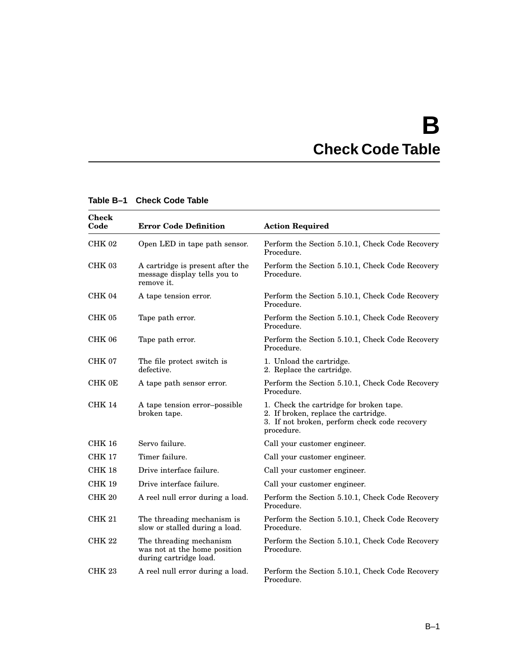# **B Check Code Table**

| <b>Check</b><br>Code | <b>Error Code Definition</b>                                                      | <b>Action Required</b>                                                                                                                         |
|----------------------|-----------------------------------------------------------------------------------|------------------------------------------------------------------------------------------------------------------------------------------------|
| CHK <sub>02</sub>    | Open LED in tape path sensor.                                                     | Perform the Section 5.10.1, Check Code Recovery<br>Procedure.                                                                                  |
| CHK 03               | A cartridge is present after the<br>message display tells you to<br>remove it.    | Perform the Section 5.10.1, Check Code Recovery<br>Procedure.                                                                                  |
| CHK 04               | A tape tension error.                                                             | Perform the Section 5.10.1, Check Code Recovery<br>Procedure.                                                                                  |
| <b>CHK 05</b>        | Tape path error.                                                                  | Perform the Section 5.10.1, Check Code Recovery<br>Procedure.                                                                                  |
| CHK 06               | Tape path error.                                                                  | Perform the Section 5.10.1, Check Code Recovery<br>Procedure.                                                                                  |
| CHK 07               | The file protect switch is<br>defective.                                          | 1. Unload the cartridge.<br>2. Replace the cartridge.                                                                                          |
| CHK 0E               | A tape path sensor error.                                                         | Perform the Section 5.10.1, Check Code Recovery<br>Procedure.                                                                                  |
| <b>CHK 14</b>        | A tape tension error-possible<br>broken tape.                                     | 1. Check the cartridge for broken tape.<br>2. If broken, replace the cartridge.<br>3. If not broken, perform check code recovery<br>procedure. |
| <b>CHK 16</b>        | Servo failure.                                                                    | Call your customer engineer.                                                                                                                   |
| <b>CHK 17</b>        | Timer failure.                                                                    | Call your customer engineer.                                                                                                                   |
| CHK 18               | Drive interface failure.                                                          | Call your customer engineer.                                                                                                                   |
| <b>CHK 19</b>        | Drive interface failure.                                                          | Call your customer engineer.                                                                                                                   |
| CHK <sub>20</sub>    | A reel null error during a load.                                                  | Perform the Section 5.10.1, Check Code Recovery<br>Procedure.                                                                                  |
| <b>CHK 21</b>        | The threading mechanism is<br>slow or stalled during a load.                      | Perform the Section 5.10.1, Check Code Recovery<br>Procedure.                                                                                  |
| <b>CHK 22</b>        | The threading mechanism<br>was not at the home position<br>during cartridge load. | Perform the Section 5.10.1, Check Code Recovery<br>Procedure.                                                                                  |
| CHK <sub>23</sub>    | A reel null error during a load.                                                  | Perform the Section 5.10.1, Check Code Recovery<br>Procedure.                                                                                  |

### **Table B–1 Check Code Table**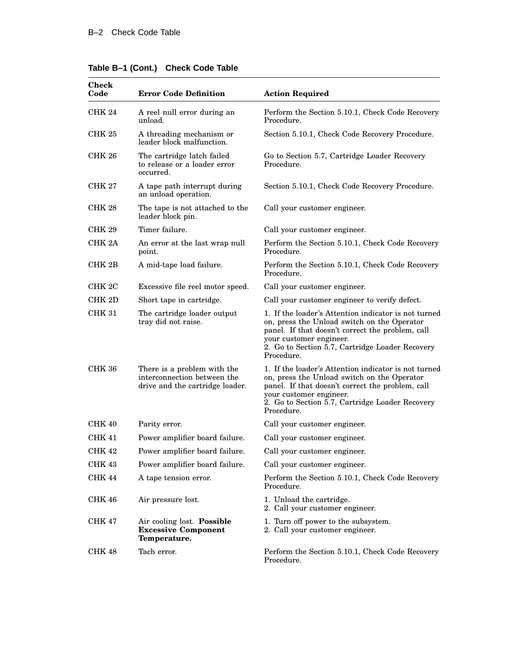| <b>Check</b><br>Code | <b>Error Code Definition</b>                                                                  | <b>Action Required</b>                                                                                                                                                                                                                              |  |
|----------------------|-----------------------------------------------------------------------------------------------|-----------------------------------------------------------------------------------------------------------------------------------------------------------------------------------------------------------------------------------------------------|--|
| CHK 24               | A reel null error during an<br>unload.                                                        | Perform the Section 5.10.1, Check Code Recovery<br>Procedure.                                                                                                                                                                                       |  |
| <b>CHK 25</b>        | A threading mechanism or<br>leader block malfunction.                                         | Section 5.10.1, Check Code Recovery Procedure.                                                                                                                                                                                                      |  |
| <b>CHK 26</b>        | The cartridge latch failed<br>to release or a loader error<br>occurred.                       | Go to Section 5.7, Cartridge Loader Recovery<br>Procedure.                                                                                                                                                                                          |  |
| <b>CHK 27</b>        | A tape path interrupt during<br>an unload operation.                                          | Section 5.10.1, Check Code Recovery Procedure.                                                                                                                                                                                                      |  |
| CHK 28               | The tape is not attached to the<br>leader block pin.                                          | Call your customer engineer.                                                                                                                                                                                                                        |  |
| <b>CHK 29</b>        | Timer failure.                                                                                | Call your customer engineer.                                                                                                                                                                                                                        |  |
| CHK <sub>2A</sub>    | An error at the last wrap null<br>point.                                                      | Perform the Section 5.10.1, Check Code Recovery<br>Procedure.                                                                                                                                                                                       |  |
| CHK 2B               | A mid-tape load failure.                                                                      | Perform the Section 5.10.1, Check Code Recovery<br>Procedure.                                                                                                                                                                                       |  |
| CHK <sub>2C</sub>    | Excessive file reel motor speed.                                                              | Call your customer engineer.                                                                                                                                                                                                                        |  |
| CHK 2D               | Short tape in cartridge.                                                                      | Call your customer engineer to verify defect.                                                                                                                                                                                                       |  |
| <b>CHK 31</b>        | The cartridge loader output<br>tray did not raise.                                            | 1. If the loader's Attention indicator is not turned<br>on, press the Unload switch on the Operator<br>panel. If that doesn't correct the problem, call<br>your customer engineer.<br>2. Go to Section 5.7, Cartridge Loader Recovery<br>Procedure. |  |
| <b>CHK 36</b>        | There is a problem with the<br>interconnection between the<br>drive and the cartridge loader. | 1. If the loader's Attention indicator is not turned<br>on, press the Unload switch on the Operator<br>panel. If that doesn't correct the problem, call<br>your customer engineer.<br>2. Go to Section 5.7, Cartridge Loader Recovery<br>Procedure. |  |
| <b>CHK 40</b>        | Parity error.                                                                                 | Call your customer engineer.                                                                                                                                                                                                                        |  |
| <b>CHK 41</b>        | Power amplifier board failure.                                                                | Call your customer engineer.                                                                                                                                                                                                                        |  |
| CHK 42               | Power amplifier board failure.                                                                | Call your customer engineer.                                                                                                                                                                                                                        |  |
| CHK 43               | Power amplifier board failure.                                                                | Call your customer engineer.                                                                                                                                                                                                                        |  |
| <b>CHK 44</b>        | A tape tension error.                                                                         | Perform the Section 5.10.1, Check Code Recovery<br>Procedure.                                                                                                                                                                                       |  |
| <b>CHK 46</b>        | Air pressure lost.                                                                            | 1. Unload the cartridge.<br>2. Call your customer engineer.                                                                                                                                                                                         |  |
| <b>CHK 47</b>        | Air cooling lost. <b>Possible</b><br><b>Excessive Component</b><br>Temperature.               | 1. Turn off power to the subsystem.<br>2. Call your customer engineer.                                                                                                                                                                              |  |
| <b>CHK 48</b>        | Tach error.                                                                                   | Perform the Section 5.10.1, Check Code Recovery<br>Procedure.                                                                                                                                                                                       |  |

### **Table B–1 (Cont.) Check Code Table**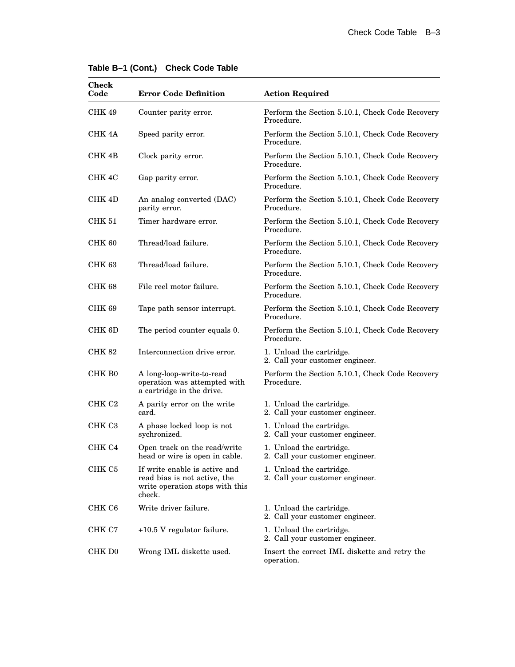| <b>Check</b><br>Code | <b>Error Code Definition</b>                                                                               | <b>Action Required</b>                                        |
|----------------------|------------------------------------------------------------------------------------------------------------|---------------------------------------------------------------|
| CHK 49               | Counter parity error.                                                                                      | Perform the Section 5.10.1, Check Code Recovery<br>Procedure. |
| CHK 4A               | Speed parity error.                                                                                        | Perform the Section 5.10.1, Check Code Recovery<br>Procedure. |
| CHK 4B               | Clock parity error.                                                                                        | Perform the Section 5.10.1, Check Code Recovery<br>Procedure. |
| CHK 4C               | Gap parity error.                                                                                          | Perform the Section 5.10.1, Check Code Recovery<br>Procedure. |
| CHK 4D               | An analog converted (DAC)<br>parity error.                                                                 | Perform the Section 5.10.1, Check Code Recovery<br>Procedure. |
| <b>CHK 51</b>        | Timer hardware error.                                                                                      | Perform the Section 5.10.1, Check Code Recovery<br>Procedure. |
| CHK 60               | Thread/load failure.                                                                                       | Perform the Section 5.10.1, Check Code Recovery<br>Procedure. |
| <b>CHK 63</b>        | Thread/load failure.                                                                                       | Perform the Section 5.10.1, Check Code Recovery<br>Procedure. |
| CHK 68               | File reel motor failure.                                                                                   | Perform the Section 5.10.1, Check Code Recovery<br>Procedure. |
| <b>CHK 69</b>        | Tape path sensor interrupt.                                                                                | Perform the Section 5.10.1, Check Code Recovery<br>Procedure. |
| CHK 6D               | The period counter equals 0.                                                                               | Perform the Section 5.10.1, Check Code Recovery<br>Procedure. |
| CHK 82               | Interconnection drive error.                                                                               | 1. Unload the cartridge.<br>2. Call your customer engineer.   |
| CHK B0               | A long-loop-write-to-read<br>operation was attempted with<br>a cartridge in the drive.                     | Perform the Section 5.10.1, Check Code Recovery<br>Procedure. |
| CHK C <sub>2</sub>   | A parity error on the write<br>card.                                                                       | 1. Unload the cartridge.<br>2. Call your customer engineer.   |
| CHK C <sub>3</sub>   | A phase locked loop is not<br>sychronized.                                                                 | 1. Unload the cartridge.<br>2. Call your customer engineer.   |
| CHK C4               | Open track on the read/write<br>head or wire is open in cable.                                             | 1. Unload the cartridge.<br>2. Call your customer engineer.   |
| CHK C5               | If write enable is active and<br>read bias is not active, the<br>write operation stops with this<br>check. | 1. Unload the cartridge.<br>2. Call your customer engineer.   |
| CHK C6               | Write driver failure.                                                                                      | 1. Unload the cartridge.<br>2. Call your customer engineer.   |
| CHK C7               | +10.5 V regulator failure.                                                                                 | 1. Unload the cartridge.<br>2. Call your customer engineer.   |
| CHK D <sub>0</sub>   | Wrong IML diskette used.                                                                                   | Insert the correct IML diskette and retry the<br>operation.   |

### **Table B–1 (Cont.) Check Code Table**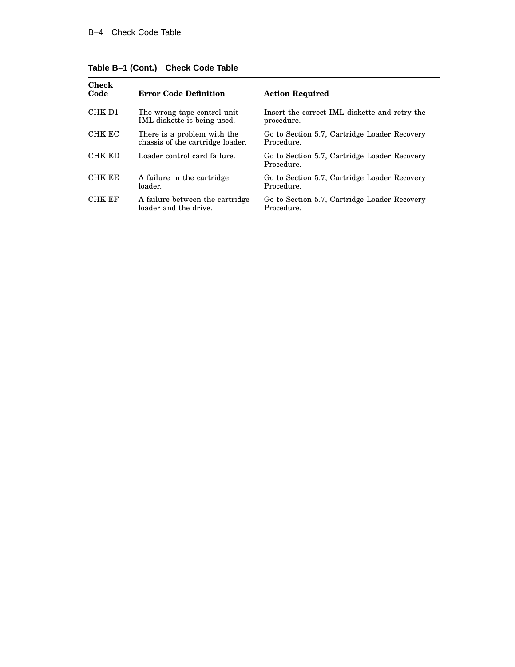| <b>Check</b><br>Code | <b>Error Code Definition</b>                                    | <b>Action Required</b>                                      |
|----------------------|-----------------------------------------------------------------|-------------------------------------------------------------|
| CHK D1               | The wrong tape control unit<br>IML diskette is being used.      | Insert the correct IML diskette and retry the<br>procedure. |
| CHK EC               | There is a problem with the<br>chassis of the cartridge loader. | Go to Section 5.7, Cartridge Loader Recovery<br>Procedure.  |
| CHK ED               | Loader control card failure.                                    | Go to Section 5.7, Cartridge Loader Recovery<br>Procedure.  |
| <b>CHK EE</b>        | A failure in the cartridge<br>loader.                           | Go to Section 5.7, Cartridge Loader Recovery<br>Procedure.  |
| <b>CHK EF</b>        | A failure between the cartridge<br>loader and the drive.        | Go to Section 5.7, Cartridge Loader Recovery<br>Procedure.  |

**Table B–1 (Cont.) Check Code Table**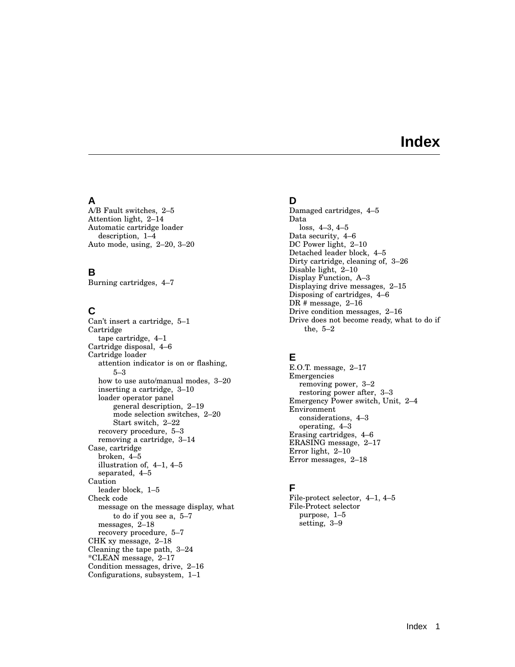# **Index**

### **A**

A/B Fault switches, 2–5 Attention light, 2–14 Automatic cartridge loader description, 1–4 Auto mode, using, 2–20, 3–20

## **B**

Burning cartridges, 4–7

### **C**

Can't insert a cartridge, 5–1 Cartridge tape cartridge, 4–1 Cartridge disposal, 4–6 Cartridge loader attention indicator is on or flashing, 5–3 how to use auto/manual modes, 3–20 inserting a cartridge, 3–10 loader operator panel general description, 2–19 mode selection switches, 2–20 Start switch, 2–22 recovery procedure, 5–3 removing a cartridge, 3–14 Case, cartridge broken, 4–5 illustration of, 4–1, 4–5 separated, 4–5 Caution leader block, 1–5 Check code message on the message display, what to do if you see a, 5–7 messages, 2–18 recovery procedure, 5–7 CHK xy message, 2–18 Cleaning the tape path, 3–24 \*CLEAN message, 2–17 Condition messages, drive, 2–16 Configurations, subsystem, 1–1

### **D**

Damaged cartridges, 4–5 Data loss, 4–3, 4–5 Data security, 4–6 DC Power light, 2–10 Detached leader block, 4–5 Dirty cartridge, cleaning of, 3–26 Disable light, 2–10 Display Function, A–3 Displaying drive messages, 2–15 Disposing of cartridges, 4–6 DR # message, 2–16 Drive condition messages, 2–16 Drive does not become ready, what to do if the, 5–2

# **E**

E.O.T. message, 2–17 Emergencies removing power, 3–2 restoring power after, 3–3 Emergency Power switch, Unit, 2–4 Environment considerations, 4–3 operating, 4–3 Erasing cartridges, 4–6 ERASING message, 2–17 Error light, 2–10 Error messages, 2–18

# **F**

File-protect selector, 4–1, 4–5 File-Protect selector purpose, 1–5 setting, 3–9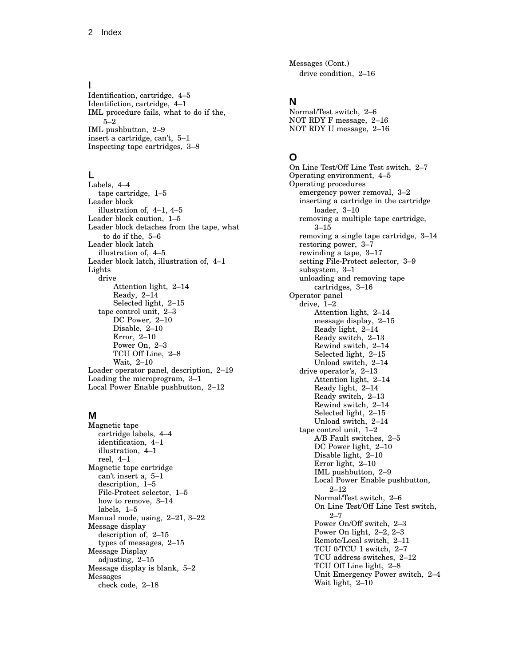### **I**

Identification, cartridge, 4–5 Identifiction, cartridge, 4–1 IML procedure fails, what to do if the, 5–2 IML pushbutton, 2–9 insert a cartridge, can't, 5–1 Inspecting tape cartridges, 3–8

### **L**

Labels, 4–4 tape cartridge, 1–5 Leader block illustration of, 4–1, 4–5 Leader block caution, 1–5 Leader block detaches from the tape, what to do if the, 5–6 Leader block latch illustration of, 4–5 Leader block latch, illustration of, 4–1 Lights drive Attention light, 2–14 Ready, 2–14 Selected light, 2–15 tape control unit, 2–3 DC Power, 2–10 Disable, 2–10 Error, 2–10 Power On, 2–3 TCU Off Line, 2–8 Wait, 2–10 Loader operator panel, description, 2–19 Loading the microprogram, 3–1 Local Power Enable pushbutton, 2–12

### **M**

Magnetic tape cartridge labels, 4–4 identification, 4–1 illustration, 4–1 reel, 4–1 Magnetic tape cartridge can't insert a, 5–1 description, 1–5 File-Protect selector, 1–5 how to remove, 3–14 labels, 1–5 Manual mode, using, 2–21, 3–22 Message display description of, 2–15 types of messages, 2–15 Message Display adjusting, 2–15 Message display is blank, 5–2 Messages check code, 2–18

Messages (Cont.) drive condition, 2–16

### **N**

Normal/Test switch, 2–6 NOT RDY F message, 2–16 NOT RDY U message, 2–16

### **O**

On Line Test/Off Line Test switch, 2–7 Operating environment, 4–5 Operating procedures emergency power removal, 3–2 inserting a cartridge in the cartridge loader, 3–10 removing a multiple tape cartridge, 3–15 removing a single tape cartridge, 3–14 restoring power, 3–7 rewinding a tape, 3–17 setting File-Protect selector, 3–9 subsystem, 3–1 unloading and removing tape cartridges, 3–16 Operator panel drive, 1–2 Attention light, 2–14 message display, 2–15 Ready light, 2–14 Ready switch, 2–13 Rewind switch, 2–14 Selected light, 2–15 Unload switch, 2–14 drive operator's, 2–13 Attention light, 2–14 Ready light, 2–14 Ready switch, 2–13 Rewind switch, 2–14 Selected light, 2–15 Unload switch, 2–14 tape control unit, 1–2 A/B Fault switches, 2–5 DC Power light, 2–10 Disable light, 2–10 Error light, 2–10 IML pushbutton, 2–9 Local Power Enable pushbutton, 2–12 Normal/Test switch, 2–6 On Line Test/Off Line Test switch, 2–7 Power On/Off switch, 2–3 Power On light, 2–2, 2–3 Remote/Local switch, 2–11 TCU 0/TCU 1 switch, 2–7 TCU address switches, 2–12 TCU Off Line light, 2–8 Unit Emergency Power switch, 2–4 Wait light, 2–10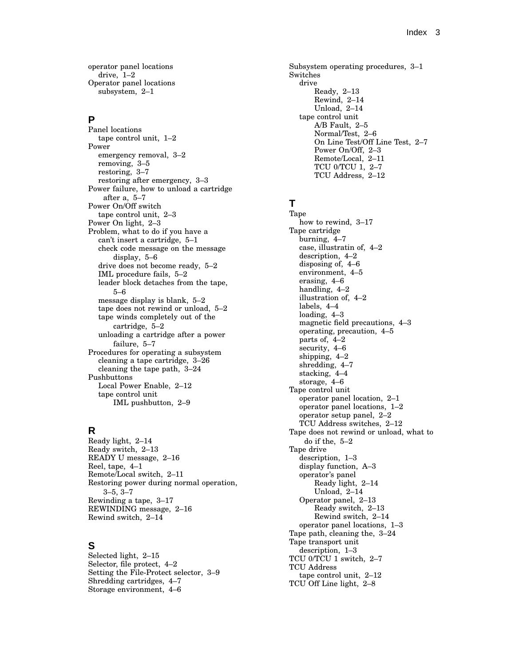operator panel locations drive, 1–2 Operator panel locations subsystem, 2–1

### **P**

Panel locations tape control unit, 1–2 Power emergency removal, 3–2 removing, 3–5 restoring, 3–7 restoring after emergency, 3–3 Power failure, how to unload a cartridge after a, 5–7 Power On/Off switch tape control unit, 2–3 Power On light, 2–3 Problem, what to do if you have a can't insert a cartridge, 5–1 check code message on the message display, 5–6 drive does not become ready, 5–2 IML procedure fails, 5–2 leader block detaches from the tape, 5–6 message display is blank, 5–2 tape does not rewind or unload, 5–2 tape winds completely out of the cartridge, 5–2 unloading a cartridge after a power failure, 5–7 Procedures for operating a subsystem cleaning a tape cartridge, 3–26 cleaning the tape path, 3–24 Pushbuttons Local Power Enable, 2–12 tape control unit IML pushbutton, 2–9

### **R**

Ready light, 2–14 Ready switch, 2–13 READY U message, 2–16 Reel, tape, 4–1 Remote/Local switch, 2–11 Restoring power during normal operation, 3–5, 3–7 Rewinding a tape, 3–17 REWINDING message, 2–16 Rewind switch, 2–14

### **S**

Selected light, 2–15 Selector, file protect, 4–2 Setting the File-Protect selector, 3–9 Shredding cartridges, 4–7 Storage environment, 4–6

Subsystem operating procedures, 3–1 Switches drive Ready, 2–13 Rewind, 2–14 Unload, 2–14 tape control unit A/B Fault, 2–5 Normal/Test, 2–6 On Line Test/Off Line Test, 2–7 Power On/Off, 2–3 Remote/Local, 2–11 TCU 0/TCU 1, 2–7 TCU Address, 2–12

# **T**

Tape how to rewind, 3–17 Tape cartridge burning, 4–7 case, illustratin of, 4–2 description, 4–2 disposing of, 4–6 environment, 4–5 erasing, 4–6 handling, 4–2 illustration of, 4–2 labels, 4–4 loading, 4–3 magnetic field precautions, 4–3 operating, precaution, 4–5 parts of, 4–2 security, 4–6 shipping, 4–2 shredding, 4–7 stacking, 4–4 storage, 4–6 Tape control unit operator panel location, 2–1 operator panel locations, 1–2 operator setup panel, 2–2 TCU Address switches, 2–12 Tape does not rewind or unload, what to do if the, 5–2 Tape drive description, 1–3 display function, A–3 operator's panel Ready light, 2–14 Unload, 2–14 Operator panel, 2–13 Ready switch, 2–13 Rewind switch, 2–14 operator panel locations, 1–3 Tape path, cleaning the, 3–24 Tape transport unit description, 1–3 TCU 0/TCU 1 switch, 2–7 TCU Address tape control unit, 2–12 TCU Off Line light, 2–8